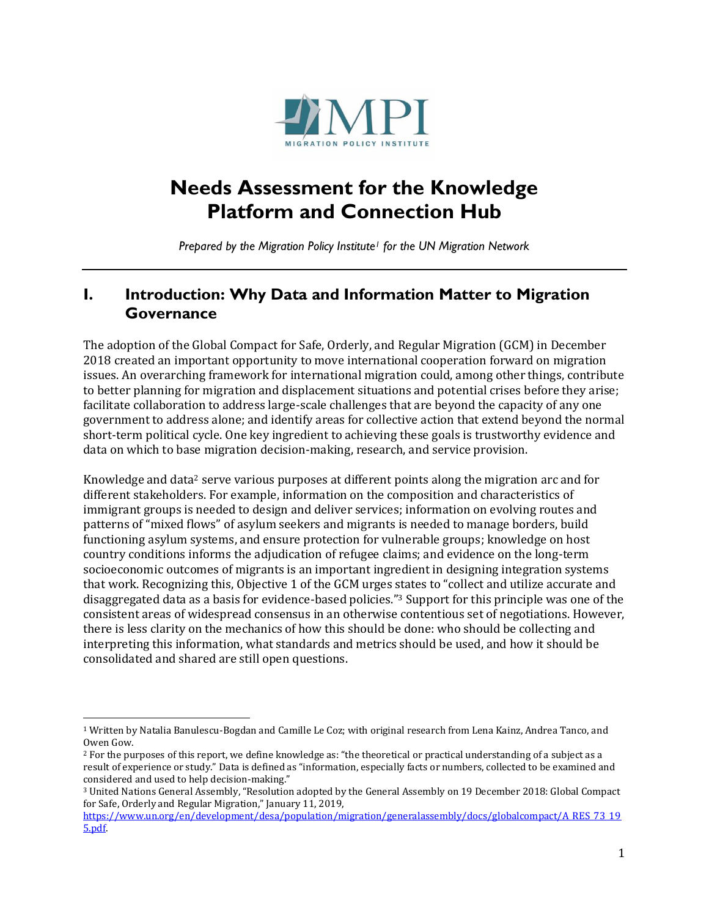

# **Needs Assessment for the Knowledge Platform and Connection Hub**

*Prepared by the Migration Policy Institute<sup>1</sup> for the UN Migration Network*

### **I. Introduction: Why Data and Information Matter to Migration Governance**

The adoption of the Global Compact for Safe, Orderly, and Regular Migration (GCM) in December 2018 created an important opportunity to move international cooperation forward on migration issues. An overarching framework for international migration could, among other things, contribute to better planning for migration and displacement situations and potential crises before they arise; facilitate collaboration to address large-scale challenges that are beyond the capacity of any one government to address alone; and identify areas for collective action that extend beyond the normal short-term political cycle. One key ingredient to achieving these goals is trustworthy evidence and data on which to base migration decision-making, research, and service provision.

Knowledge and data<sup>2</sup> serve various purposes at different points along the migration arc and for different stakeholders. For example, information on the composition and characteristics of immigrant groups is needed to design and deliver services; information on evolving routes and patterns of "mixed flows" of asylum seekers and migrants is needed to manage borders, build functioning asylum systems, and ensure protection for vulnerable groups; knowledge on host country conditions informs the adjudication of refugee claims; and evidence on the long-term socioeconomic outcomes of migrants is an important ingredient in designing integration systems that work. Recognizing this, Objective 1 of the GCM urges states to "collect and utilize accurate and disaggregated data as a basis for evidence-based policies."<sup>3</sup> Support for this principle was one of the consistent areas of widespread consensus in an otherwise contentious set of negotiations. However, there is less clarity on the mechanics of how this should be done: who should be collecting and interpreting this information, what standards and metrics should be used, and how it should be consolidated and shared are still open questions.

<sup>1</sup> Written by Natalia Banulescu-Bogdan and Camille Le Coz; with original research from Lena Kainz, Andrea Tanco, and Owen Gow.

<sup>2</sup> For the purposes of this report, we define knowledge as: "the theoretical or practical understanding of a subject as a result of experience or study." Data is defined as "information, especially facts or numbers, collected to be examined and considered and used to help decision-making."

<sup>3</sup> United Nations General Assembly, "Resolution adopted by the General Assembly on 19 December 2018: Global Compact for Safe, Orderly and Regular Migration," January 11, 2019,

[https://www.un.org/en/development/desa/population/migration/generalassembly/docs/globalcompact/A\\_RES\\_73\\_19](https://www.un.org/en/development/desa/population/migration/generalassembly/docs/globalcompact/A_RES_73_195.pdf) [5.pdf.](https://www.un.org/en/development/desa/population/migration/generalassembly/docs/globalcompact/A_RES_73_195.pdf)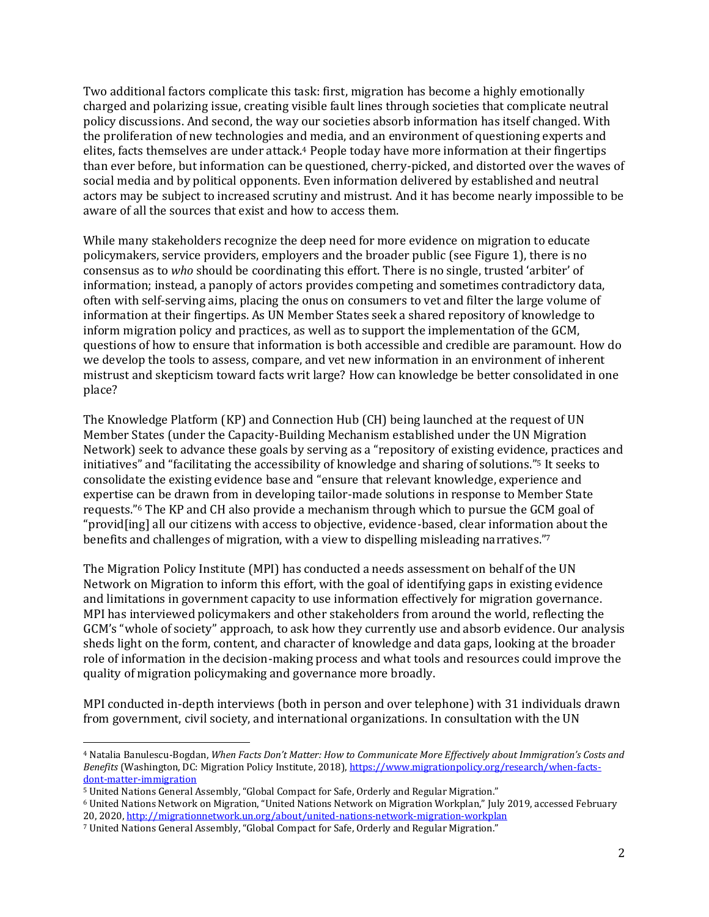Two additional factors complicate this task: first, migration has become a highly emotionally charged and polarizing issue, creating visible fault lines through societies that complicate neutral policy discussions. And second, the way our societies absorb information has itself changed. With the proliferation of new technologies and media, and an environment of questioning experts and elites, facts themselves are under attack. <sup>4</sup> People today have more information at their fingertips than ever before, but information can be questioned, cherry-picked, and distorted over the waves of social media and by political opponents. Even information delivered by established and neutral actors may be subject to increased scrutiny and mistrust. And it has become nearly impossible to be aware of all the sources that exist and how to access them.

While many stakeholders recognize the deep need for more evidence on migration to educate policymakers, service providers, employers and the broader public (see Figure 1), there is no consensus as to *who* should be coordinating this effort. There is no single, trusted 'arbiter' of information; instead, a panoply of actors provides competing and sometimes contradictory data, often with self-serving aims, placing the onus on consumers to vet and filter the large volume of information at their fingertips. As UN Member States seek a shared repository of knowledge to inform migration policy and practices, as well as to support the implementation of the GCM, questions of how to ensure that information is both accessible and credible are paramount. How do we develop the tools to assess, compare, and vet new information in an environment of inherent mistrust and skepticism toward facts writ large? How can knowledge be better consolidated in one place?

The Knowledge Platform (KP) and Connection Hub (CH) being launched at the request of UN Member States (under the Capacity-Building Mechanism established under the UN Migration Network) seek to advance these goals by serving as a "repository of existing evidence, practices and initiatives" and "facilitating the accessibility of knowledge and sharing of solutions."<sup>5</sup> It seeks to consolidate the existing evidence base and "ensure that relevant knowledge, experience and expertise can be drawn from in developing tailor-made solutions in response to Member State requests." <sup>6</sup> The KP and CH also provide a mechanism through which to pursue the GCM goal of "provid[ing] all our citizens with access to objective, evidence-based, clear information about the benefits and challenges of migration, with a view to dispelling misleading narratives." 7

The Migration Policy Institute (MPI) has conducted a needs assessment on behalf of the UN Network on Migration to inform this effort, with the goal of identifying gaps in existing evidence and limitations in government capacity to use information effectively for migration governance. MPI has interviewed policymakers and other stakeholders from around the world, reflecting the GCM's "whole of society" approach, to ask how they currently use and absorb evidence. Our analysis sheds light on the form, content, and character of knowledge and data gaps, looking at the broader role of information in the decision-making process and what tools and resources could improve the quality of migration policymaking and governance more broadly.

MPI conducted in-depth interviews (both in person and over telephone) with 31 individuals drawn from government, civil society, and international organizations. In consultation with the UN

<sup>4</sup> Natalia Banulescu-Bogdan, *When Facts Don't Matter: How to Communicate More Effectively about Immigration's Costs and Benefits* (Washington, DC: Migration Policy Institute, 2018), [https://www.migrationpolicy.org/research/when-facts](https://www.migrationpolicy.org/research/when-facts-dont-matter-immigration)[dont-matter-immigration](https://www.migrationpolicy.org/research/when-facts-dont-matter-immigration)

<sup>5</sup> United Nations General Assembly, "Global Compact for Safe, Orderly and Regular Migration."

<sup>6</sup> United Nations Network on Migration, "United Nations Network on Migration Workplan," July 2019, accessed February 20, 2020[, http://migrationnetwork.un.org/about/united-nations-network-migration-workplan](http://migrationnetwork.un.org/about/united-nations-network-migration-workplan)

<sup>7</sup> United Nations General Assembly, "Global Compact for Safe, Orderly and Regular Migration."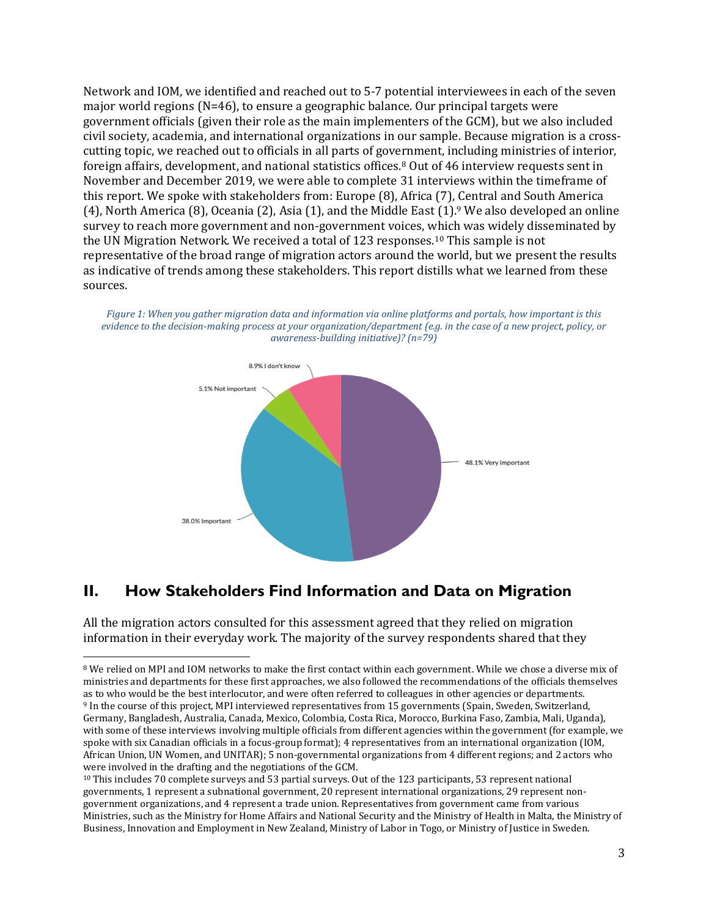Network and IOM, we identified and reached out to 5-7 potential interviewees in each of the seven major world regions (N=46), to ensure a geographic balance. Our principal targets were government officials (given their role as the main implementers of the GCM), but we also included civil society, academia, and international organizations in our sample. Because migration is a crosscutting topic, we reached out to officials in all parts of government, including ministries of interior, foreign affairs, development, and national statistics offices.<sup>8</sup> Out of 46 interview requests sent in November and December 2019, we were able to complete 31 interviews within the timeframe of this report. We spoke with stakeholders from: Europe (8), Africa (7), Central and South America (4), North America (8), Oceania (2), Asia (1), and the Middle East (1). <sup>9</sup> We also developed an online survey to reach more government and non-government voices, which was widely disseminated by the UN Migration Network. We received a total of 123 responses.<sup>10</sup> This sample is not representative of the broad range of migration actors around the world, but we present the results as indicative of trends among these stakeholders. This report distills what we learned from these sources.



*Figure 1: When you gather migration data and information via online platforms and portals, how important is this evidence to the decision-making process at your organization/department (e.g. in the case of a new project, policy, or awareness-building initiative)? (n=79)*

# **II. How Stakeholders Find Information and Data on Migration**

All the migration actors consulted for this assessment agreed that they relied on migration information in their everyday work. The majority of the survey respondents shared that they

<sup>8</sup> We relied on MPI and IOM networks to make the first contact within each government. While we chose a diverse mix of ministries and departments for these first approaches, we also followed the recommendations of the officials themselves as to who would be the best interlocutor, and were often referred to colleagues in other agencies or departments. <sup>9</sup> In the course of this project, MPI interviewed representatives from 15 governments (Spain, Sweden, Switzerland, Germany, Bangladesh, Australia, Canada, Mexico, Colombia, Costa Rica, Morocco, Burkina Faso, Zambia, Mali, Uganda), with some of these interviews involving multiple officials from different agencies within the government (for example, we spoke with six Canadian officials in a focus-group format); 4 representatives from an international organization (IOM, African Union, UN Women, and UNITAR); 5 non-governmental organizations from 4 different regions; and 2 actors who were involved in the drafting and the negotiations of the GCM.

<sup>&</sup>lt;sup>10</sup> This includes 70 complete surveys and 53 partial surveys. Out of the 123 participants, 53 represent national governments, 1 represent a subnational government, 20 represent international organizations, 29 represent nongovernment organizations, and 4 represent a trade union. Representatives from government came from various Ministries, such as the Ministry for Home Affairs and National Security and the Ministry of Health in Malta, the Ministry of Business, Innovation and Employment in New Zealand, Ministry of Labor in Togo, or Ministry of Justice in Sweden.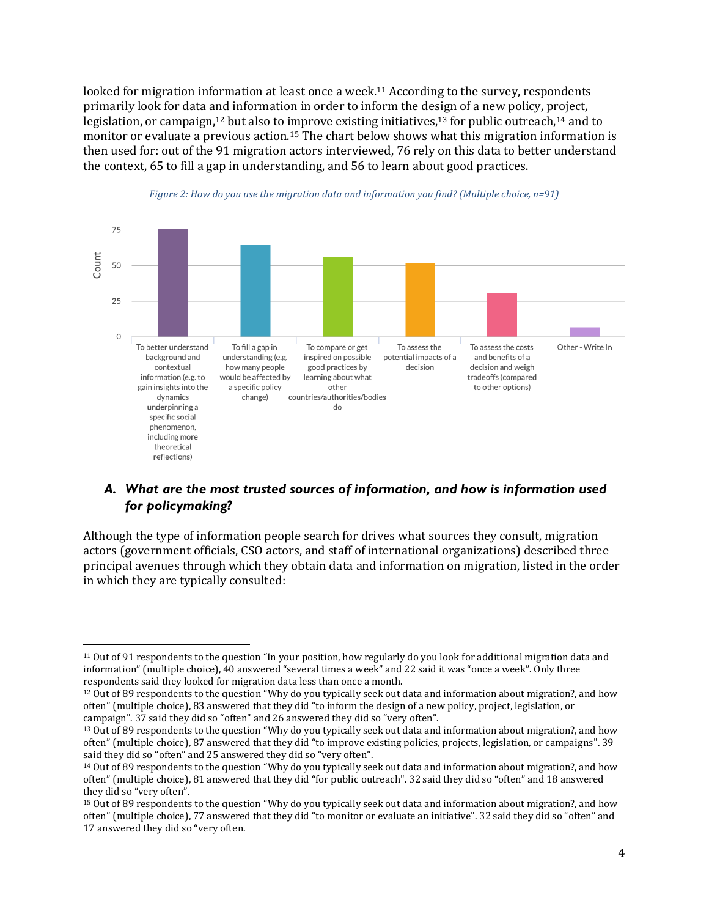looked for migration information at least once a week.<sup>11</sup> According to the survey, respondents primarily look for data and information in order to inform the design of a new policy, project, legislation, or campaign,<sup>12</sup> but also to improve existing initiatives,<sup>13</sup> for public outreach,<sup>14</sup> and to monitor or evaluate a previous action.<sup>15</sup> The chart below shows what this migration information is then used for: out of the 91 migration actors interviewed, 76 rely on this data to better understand the context, 65 to fill a gap in understanding, and 56 to learn about good practices.





#### *A. What are the most trusted sources of information, and how is information used for policymaking?*

Although the type of information people search for drives what sources they consult, migration actors (government officials, CSO actors, and staff of international organizations) described three principal avenues through which they obtain data and information on migration, listed in the order in which they are typically consulted:

<sup>11</sup> Out of 91 respondents to the question "In your position, how regularly do you look for additional migration data and information" (multiple choice), 40 answered "several times a week" and 22 said it was "once a week". Only three respondents said they looked for migration data less than once a month.

<sup>12</sup> Out of 89 respondents to the question "Why do you typically seek out data and information about migration?, and how often" (multiple choice), 83 answered that they did "to inform the design of a new policy, project, legislation, or campaign". 37 said they did so "often" and 26 answered they did so "very often".

<sup>13</sup> Out of 89 respondents to the question "Why do you typically seek out data and information about migration?, and how often" (multiple choice), 87 answered that they did "to improve existing policies, projects, legislation, or campaigns". 39 said they did so "often" and 25 answered they did so "very often".

<sup>14</sup> Out of 89 respondents to the question "Why do you typically seek out data and information about migration?, and how often" (multiple choice), 81 answered that they did "for public outreach". 32 said they did so "often" and 18 answered they did so "very often".

<sup>15</sup> Out of 89 respondents to the question "Why do you typically seek out data and information about migration?, and how often" (multiple choice), 77 answered that they did "to monitor or evaluate an initiative". 32 said they did so "often" and 17 answered they did so "very often.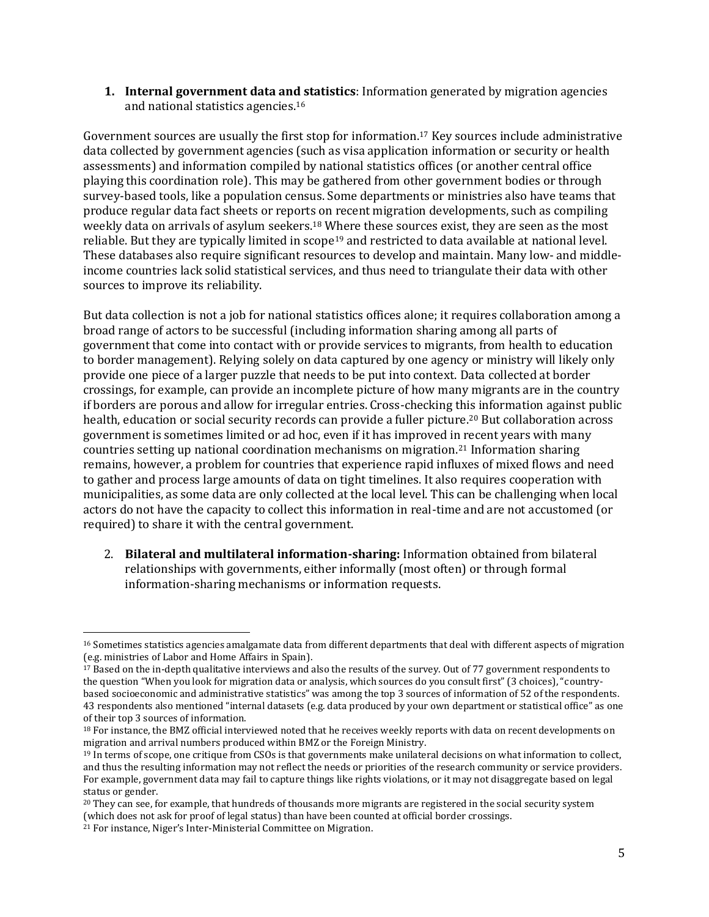**1. Internal government data and statistics**: Information generated by migration agencies and national statistics agencies.<sup>16</sup>

Government sources are usually the first stop for information. <sup>17</sup> Key sources include administrative data collected by government agencies (such as visa application information or security or health assessments) and information compiled by national statistics offices (or another central office playing this coordination role). This may be gathered from other government bodies or through survey-based tools, like a population census. Some departments or ministries also have teams that produce regular data fact sheets or reports on recent migration developments, such as compiling weekly data on arrivals of asylum seekers.<sup>18</sup> Where these sources exist, they are seen as the most reliable. But they are typically limited in scope<sup>19</sup> and restricted to data available at national level. These databases also require significant resources to develop and maintain. Many low- and middleincome countries lack solid statistical services, and thus need to triangulate their data with other sources to improve its reliability.

But data collection is not a job for national statistics offices alone; it requires collaboration among a broad range of actors to be successful (including information sharing among all parts of government that come into contact with or provide services to migrants, from health to education to border management). Relying solely on data captured by one agency or ministry will likely only provide one piece of a larger puzzle that needs to be put into context. Data collected at border crossings, for example, can provide an incomplete picture of how many migrants are in the country if borders are porous and allow for irregular entries. Cross-checking this information against public health, education or social security records can provide a fuller picture.<sup>20</sup> But collaboration across government is sometimes limited or ad hoc, even if it has improved in recent years with many countries setting up national coordination mechanisms on migration.<sup>21</sup> Information sharing remains, however, a problem for countries that experience rapid influxes of mixed flows and need to gather and process large amounts of data on tight timelines. It also requires cooperation with municipalities, as some data are only collected at the local level. This can be challenging when local actors do not have the capacity to collect this information in real-time and are not accustomed (or required) to share it with the central government.

2. **Bilateral and multilateral information-sharing:** Information obtained from bilateral relationships with governments, either informally (most often) or through formal information-sharing mechanisms or information requests.

<sup>16</sup> Sometimes statistics agencies amalgamate data from different departments that deal with different aspects of migration (e.g. ministries of Labor and Home Affairs in Spain).

<sup>&</sup>lt;sup>17</sup> Based on the in-depth qualitative interviews and also the results of the survey. Out of 77 government respondents to the question "When you look for migration data or analysis, which sources do you consult first" (3 choices), "countrybased socioeconomic and administrative statistics" was among the top 3 sources of information of 52 of the respondents. 43 respondents also mentioned "internal datasets (e.g. data produced by your own department or statistical office" as one of their top 3 sources of information.

<sup>18</sup> For instance, the BMZ official interviewed noted that he receives weekly reports with data on recent developments on migration and arrival numbers produced within BMZ or the Foreign Ministry.

<sup>&</sup>lt;sup>19</sup> In terms of scope, one critique from CSOs is that governments make unilateral decisions on what information to collect, and thus the resulting information may not reflect the needs or priorities of the research community or service providers. For example, government data may fail to capture things like rights violations, or it may not disaggregate based on legal status or gender.

<sup>&</sup>lt;sup>20</sup> They can see, for example, that hundreds of thousands more migrants are registered in the social security system (which does not ask for proof of legal status) than have been counted at official border crossings.

<sup>21</sup> For instance, Niger's Inter-Ministerial Committee on Migration.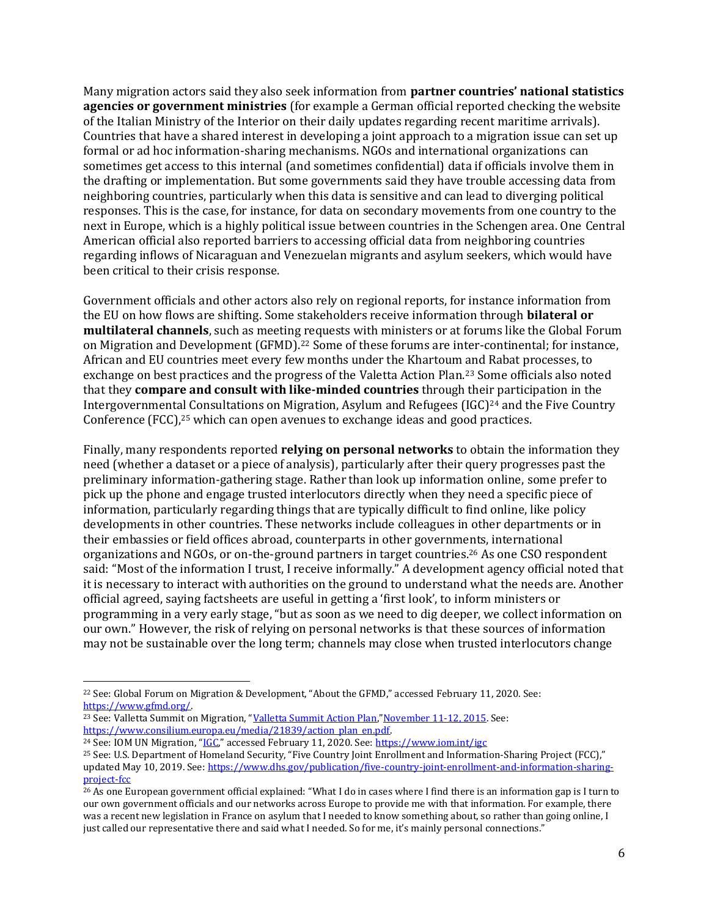Many migration actors said they also seek information from **partner countries' national statistics agencies or government ministries** (for example a German official reported checking the website of the Italian Ministry of the Interior on their daily updates regarding recent maritime arrivals). Countries that have a shared interest in developing a joint approach to a migration issue can set up formal or ad hoc information-sharing mechanisms. NGOs and international organizations can sometimes get access to this internal (and sometimes confidential) data if officials involve them in the drafting or implementation. But some governments said they have trouble accessing data from neighboring countries, particularly when this data is sensitive and can lead to diverging political responses. This is the case, for instance, for data on secondary movements from one country to the next in Europe, which is a highly political issue between countries in the Schengen area. One Central American official also reported barriers to accessing official data from neighboring countries regarding inflows of Nicaraguan and Venezuelan migrants and asylum seekers, which would have been critical to their crisis response.

Government officials and other actors also rely on regional reports, for instance information from the EU on how flows are shifting. Some stakeholders receive information through **bilateral or multilateral channels**, such as meeting requests with ministers or at forums like the Global Forum on Migration and Development (GFMD).<sup>22</sup> Some of these forums are inter-continental; for instance, African and EU countries meet every few months under the Khartoum and Rabat processes, to exchange on best practices and the progress of the Valetta Action Plan.<sup>23</sup> Some officials also noted that they **compare and consult with like-minded countries** through their participation in the Intergovernmental Consultations on Migration, Asylum and Refugees (IGC)<sup>24</sup> and the Five Country Conference (FCC),<sup>25</sup> which can open avenues to exchange ideas and good practices.

Finally, many respondents reported **relying on personal networks** to obtain the information they need (whether a dataset or a piece of analysis), particularly after their query progresses past the preliminary information-gathering stage. Rather than look up information online, some prefer to pick up the phone and engage trusted interlocutors directly when they need a specific piece of information, particularly regarding things that are typically difficult to find online, like policy developments in other countries. These networks include colleagues in other departments or in their embassies or field offices abroad, counterparts in other governments, international organizations and NGOs, or on-the-ground partners in target countries.<sup>26</sup> As one CSO respondent said: "Most of the information I trust, I receive informally." A development agency official noted that it is necessary to interact with authorities on the ground to understand what the needs are. Another official agreed, saying factsheets are useful in getting a 'first look', to inform ministers or programming in a very early stage, "but as soon as we need to dig deeper, we collect information on our own." However, the risk of relying on personal networks is that these sources of information may not be sustainable over the long term; channels may close when trusted interlocutors change

<sup>22</sup> See: Global Forum on Migration & Development, "About the GFMD," accessed February 11, 2020. See: [https://www.gfmd.org/.](https://www.gfmd.org/)

<sup>&</sup>lt;sup>23</sup> See: Valletta Summit on Migration, "[Valletta Summit Action Plan](https://www.consilium.europa.eu/media/21839/action_plan_en.pdf)," November 11-12, 2015. See: [https://www.consilium.europa.eu/media/21839/action\\_plan\\_en.pdf.](https://www.consilium.europa.eu/media/21839/action_plan_en.pdf)

<sup>24</sup> See: IOM UN Migration, "[IGC](https://www.iom.int/igc)," accessed February 11, 2020. See[: https://www.iom.int/igc](https://www.iom.int/igc)

<sup>25</sup> See: U.S. Department of Homeland Security, "Five Country Joint Enrollment and Information-Sharing Project (FCC)," updated May 10, 2019. See[: https://www.dhs.gov/publication/five-country-joint-enrollment-and-information-sharing](https://www.dhs.gov/publication/five-country-joint-enrollment-and-information-sharing-project-fcc)[project-fcc](https://www.dhs.gov/publication/five-country-joint-enrollment-and-information-sharing-project-fcc)

<sup>26</sup> As one European government official explained: "What I do in cases where I find there is an information gap is I turn to our own government officials and our networks across Europe to provide me with that information. For example, there was a recent new legislation in France on asylum that I needed to know something about, so rather than going online, I just called our representative there and said what I needed. So for me, it's mainly personal connections."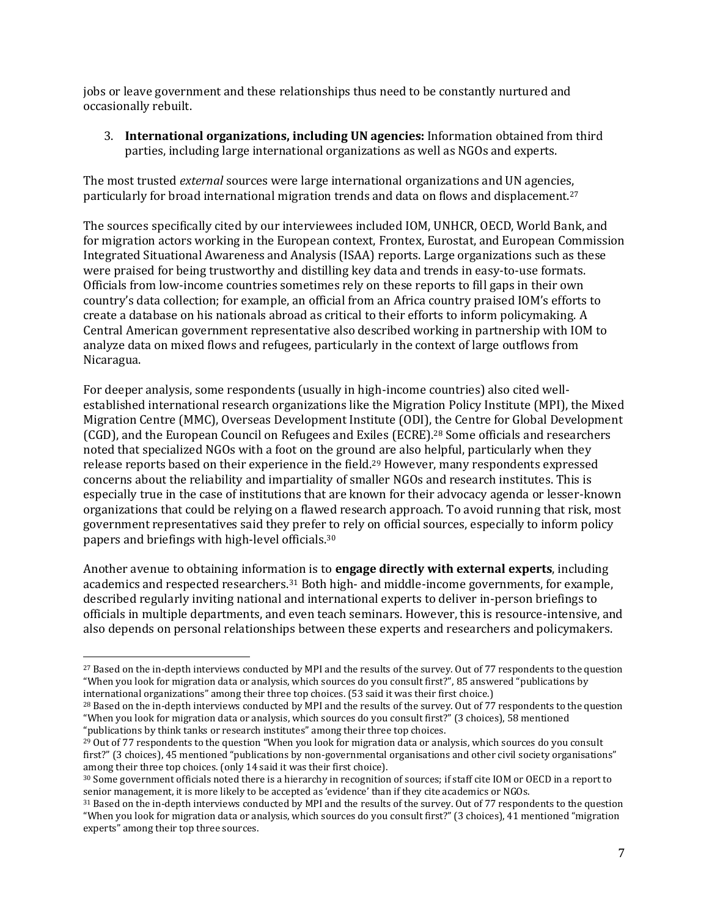jobs or leave government and these relationships thus need to be constantly nurtured and occasionally rebuilt.

3. **International organizations, including UN agencies:** Information obtained from third parties, including large international organizations as well as NGOs and experts.

The most trusted *external* sources were large international organizations and UN agencies, particularly for broad international migration trends and data on flows and displacement.<sup>27</sup>

The sources specifically cited by our interviewees included IOM, UNHCR, OECD, World Bank, and for migration actors working in the European context, Frontex, Eurostat, and European Commission Integrated Situational Awareness and Analysis (ISAA) reports. Large organizations such as these were praised for being trustworthy and distilling key data and trends in easy-to-use formats. Officials from low-income countries sometimes rely on these reports to fill gaps in their own country's data collection; for example, an official from an Africa country praised IOM's efforts to create a database on his nationals abroad as critical to their efforts to inform policymaking. A Central American government representative also described working in partnership with IOM to analyze data on mixed flows and refugees, particularly in the context of large outflows from Nicaragua.

For deeper analysis, some respondents (usually in high-income countries) also cited wellestablished international research organizations like the Migration Policy Institute (MPI), the Mixed Migration Centre (MMC), Overseas Development Institute (ODI), the Centre for Global Development (CGD), and the European Council on Refugees and Exiles (ECRE).<sup>28</sup> Some officials and researchers noted that specialized NGOs with a foot on the ground are also helpful, particularly when they release reports based on their experience in the field.<sup>29</sup> However, many respondents expressed concerns about the reliability and impartiality of smaller NGOs and research institutes. This is especially true in the case of institutions that are known for their advocacy agenda or lesser-known organizations that could be relying on a flawed research approach. To avoid running that risk, most government representatives said they prefer to rely on official sources, especially to inform policy papers and briefings with high-level officials.<sup>30</sup>

Another avenue to obtaining information is to **engage directly with external experts**, including academics and respected researchers.<sup>31</sup> Both high- and middle-income governments, for example, described regularly inviting national and international experts to deliver in-person briefings to officials in multiple departments, and even teach seminars. However, this is resource-intensive, and also depends on personal relationships between these experts and researchers and policymakers.

<sup>&</sup>lt;sup>27</sup> Based on the in-depth interviews conducted by MPI and the results of the survey. Out of 77 respondents to the question "When you look for migration data or analysis, which sources do you consult first?", 85 answered "publications by international organizations" among their three top choices. (53 said it was their first choice.)

<sup>&</sup>lt;sup>28</sup> Based on the in-depth interviews conducted by MPI and the results of the survey. Out of 77 respondents to the question "When you look for migration data or analysis, which sources do you consult first?" (3 choices), 58 mentioned "publications by think tanks or research institutes" among their three top choices.

<sup>&</sup>lt;sup>29</sup> Out of 77 respondents to the question "When you look for migration data or analysis, which sources do you consult first?" (3 choices), 45 mentioned "publications by non-governmental organisations and other civil society organisations" among their three top choices. (only 14 said it was their first choice).

<sup>30</sup> Some government officials noted there is a hierarchy in recognition of sources; if staff cite IOM or OECD in a report to senior management, it is more likely to be accepted as 'evidence' than if they cite academics or NGOs.

<sup>&</sup>lt;sup>31</sup> Based on the in-depth interviews conducted by MPI and the results of the survey. Out of 77 respondents to the question "When you look for migration data or analysis, which sources do you consult first?" (3 choices), 41 mentioned "migration experts" among their top three sources.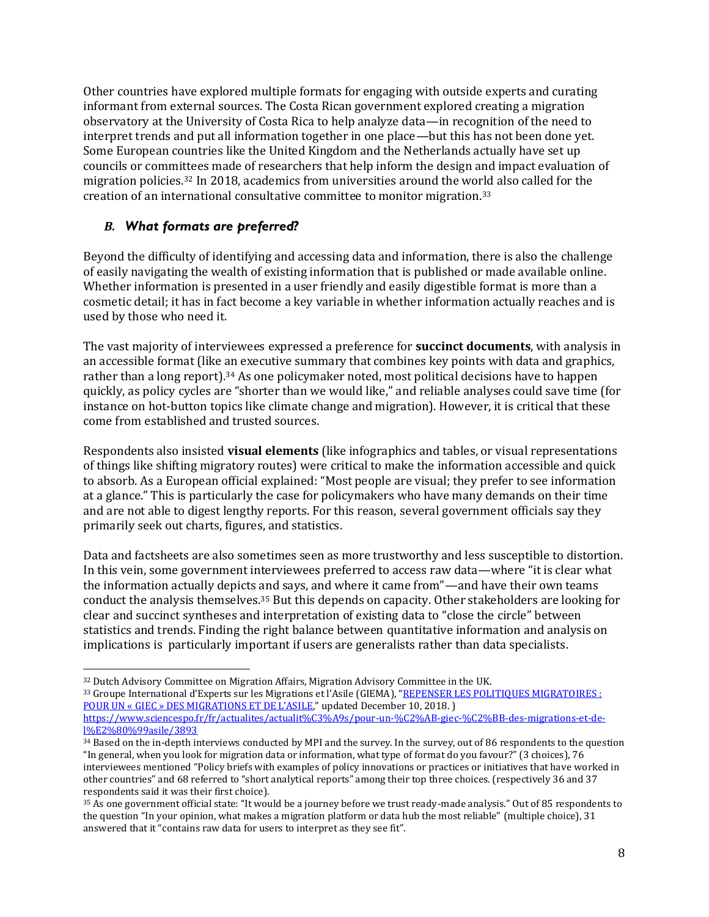Other countries have explored multiple formats for engaging with outside experts and curating informant from external sources. The Costa Rican government explored creating a migration observatory at the University of Costa Rica to help analyze data—in recognition of the need to interpret trends and put all information together in one place—but this has not been done yet. Some European countries like the United Kingdom and the Netherlands actually have set up councils or committees made of researchers that help inform the design and impact evaluation of migration policies.<sup>32</sup> In 2018, academics from universities around the world also called for the creation of an international consultative committee to monitor migration.<sup>33</sup>

#### *B. What formats are preferred?*

Beyond the difficulty of identifying and accessing data and information, there is also the challenge of easily navigating the wealth of existing information that is published or made available online. Whether information is presented in a user friendly and easily digestible format is more than a cosmetic detail; it has in fact become a key variable in whether information actually reaches and is used by those who need it.

The vast majority of interviewees expressed a preference for **succinct documents**, with analysis in an accessible format (like an executive summary that combines key points with data and graphics, rather than a long report).<sup>34</sup> As one policymaker noted, most political decisions have to happen quickly, as policy cycles are "shorter than we would like," and reliable analyses could save time (for instance on hot-button topics like climate change and migration). However, it is critical that these come from established and trusted sources.

Respondents also insisted **visual elements** (like infographics and tables, or visual representations of things like shifting migratory routes) were critical to make the information accessible and quick to absorb. As a European official explained: "Most people are visual; they prefer to see information at a glance." This is particularly the case for policymakers who have many demands on their time and are not able to digest lengthy reports. For this reason, several government officials say they primarily seek out charts, figures, and statistics.

Data and factsheets are also sometimes seen as more trustworthy and less susceptible to distortion. In this vein, some government interviewees preferred to access raw data—where "it is clear what the information actually depicts and says, and where it came from"—and have their own teams conduct the analysis themselves.<sup>35</sup> But this depends on capacity. Other stakeholders are looking for clear and succinct syntheses and interpretation of existing data to "close the circle" between statistics and trends. Finding the right balance between quantitative information and analysis on implications is particularly important if users are generalists rather than data specialists.

<sup>32</sup> Dutch Advisory Committee on Migration Affairs, Migration Advisory Committee in the UK. 33 Groupe International d'Experts sur les Migrations et l'Asile (GIEMA), "REPENSER LES POLITIQUES MIGRATOIRES : [POUR UN « GIEC » DES MIGRATIONS ET DE L'ASILE,"](https://www.sciencespo.fr/fr/actualites/actualit%C3%A9s/pour-un-%C2%AB-giec-%C2%BB-des-migrations-et-de-l%E2%80%99asile/3893) updated December 10, 2018. ) [https://www.sciencespo.fr/fr/actualites/actualit%C3%A9s/pour-un-%C2%AB-giec-%C2%BB-des-migrations-et-de](https://www.sciencespo.fr/fr/actualites/actualit%C3%A9s/pour-un-%C2%AB-giec-%C2%BB-des-migrations-et-de-l%E2%80%99asile/3893)[l%E2%80%99asile/3893](https://www.sciencespo.fr/fr/actualites/actualit%C3%A9s/pour-un-%C2%AB-giec-%C2%BB-des-migrations-et-de-l%E2%80%99asile/3893)

<sup>&</sup>lt;sup>34</sup> Based on the in-depth interviews conducted by MPI and the survey. In the survey, out of 86 respondents to the question "In general, when you look for migration data or information, what type of format do you favour?" (3 choices), 76 interviewees mentioned "Policy briefs with examples of policy innovations or practices or initiatives that have worked in other countries" and 68 referred to "short analytical reports" among their top three choices. (respectively 36 and 37 respondents said it was their first choice).

<sup>35</sup> As one government official state: "It would be a journey before we trust ready-made analysis." Out of 85 respondents to the question "In your opinion, what makes a migration platform or data hub the most reliable" (multiple choice), 31 answered that it "contains raw data for users to interpret as they see fit".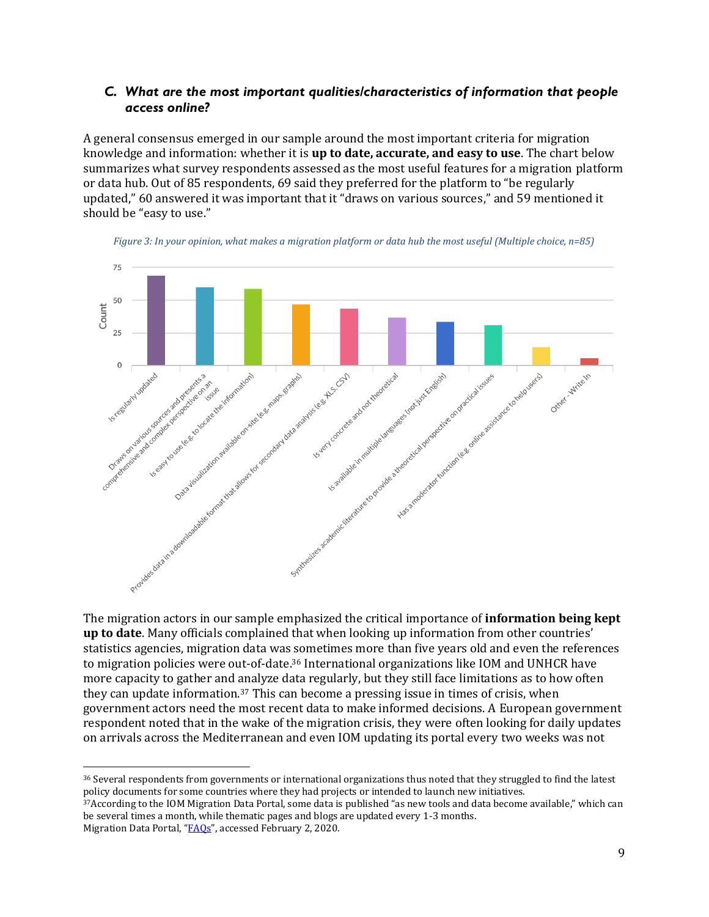#### *C. What are the most important qualities/characteristics of information that people access online?*

A general consensus emerged in our sample around the most important criteria for migration knowledge and information: whether it is **up to date, accurate, and easy to use**. The chart below summarizes what survey respondents assessed as the most useful features for a migration platform or data hub. Out of 85 respondents, 69 said they preferred for the platform to "be regularly updated," 60 answered it was important that it "draws on various sources," and 59 mentioned it should be "easy to use."



*Figure 3: In your opinion, what makes a migration platform or data hub the most useful (Multiple choice, n=85)*

The migration actors in our sample emphasized the critical importance of **information being kept up to date**. Many officials complained that when looking up information from other countries' statistics agencies, migration data was sometimes more than five years old and even the references to migration policies were out-of-date.<sup>36</sup> International organizations like IOM and UNHCR have more capacity to gather and analyze data regularly, but they still face limitations as to how often they can update information.<sup>37</sup> This can become a pressing issue in times of crisis, when government actors need the most recent data to make informed decisions. A European government respondent noted that in the wake of the migration crisis, they were often looking for daily updates on arrivals across the Mediterranean and even IOM updating its portal every two weeks was not

<sup>37</sup>According to the IOM Migration Data Portal, some data is published "as new tools and data become available," which can be several times a month, while thematic pages and blogs are updated every 1-3 months. Migration Data Portal, "[FAQs](https://migrationdataportal.org/faqs)", accessed February 2, 2020.

<sup>36</sup> Several respondents from governments or international organizations thus noted that they struggled to find the latest policy documents for some countries where they had projects or intended to launch new initiatives.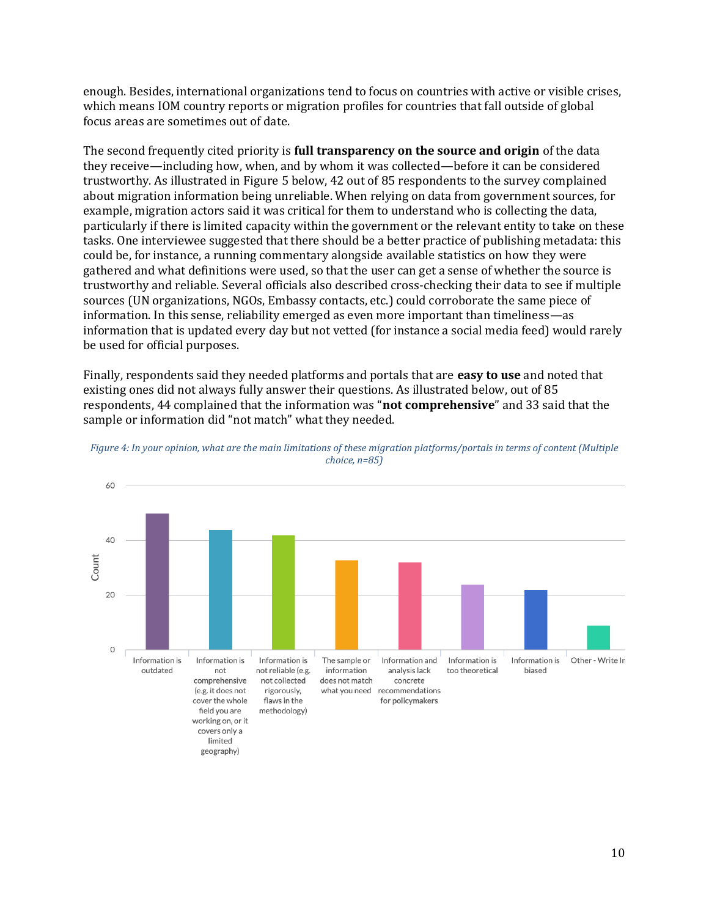enough. Besides, international organizations tend to focus on countries with active or visible crises, which means IOM country reports or migration profiles for countries that fall outside of global focus areas are sometimes out of date.

The second frequently cited priority is **full transparency on the source and origin** of the data they receive—including how, when, and by whom it was collected—before it can be considered trustworthy. As illustrated in Figure 5 below, 42 out of 85 respondents to the survey complained about migration information being unreliable. When relying on data from government sources, for example, migration actors said it was critical for them to understand who is collecting the data, particularly if there is limited capacity within the government or the relevant entity to take on these tasks. One interviewee suggested that there should be a better practice of publishing metadata: this could be, for instance, a running commentary alongside available statistics on how they were gathered and what definitions were used, so that the user can get a sense of whether the source is trustworthy and reliable. Several officials also described cross-checking their data to see if multiple sources (UN organizations, NGOs, Embassy contacts, etc.) could corroborate the same piece of information. In this sense, reliability emerged as even more important than timeliness—as information that is updated every day but not vetted (for instance a social media feed) would rarely be used for official purposes.

Finally, respondents said they needed platforms and portals that are **easy to use** and noted that existing ones did not always fully answer their questions. As illustrated below, out of 85 respondents, 44 complained that the information was "**not comprehensive**" and 33 said that the sample or information did "not match" what they needed.



*Figure 4: In your opinion, what are the main limitations of these migration platforms/portals in terms of content (Multiple choice, n=85)*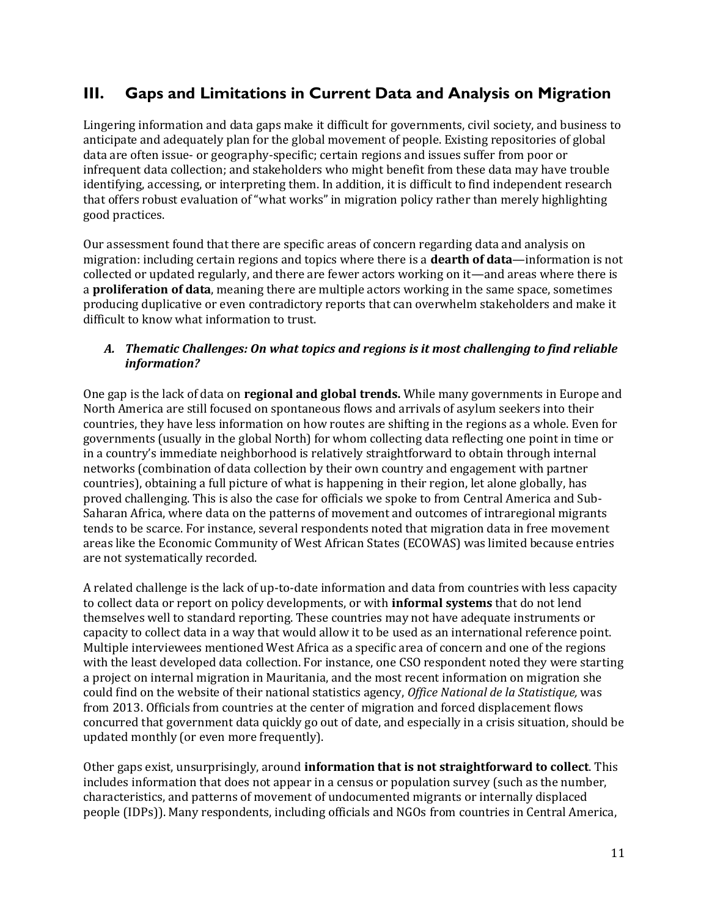# **III. Gaps and Limitations in Current Data and Analysis on Migration**

Lingering information and data gaps make it difficult for governments, civil society, and business to anticipate and adequately plan for the global movement of people. Existing repositories of global data are often issue- or geography-specific; certain regions and issues suffer from poor or infrequent data collection; and stakeholders who might benefit from these data may have trouble identifying, accessing, or interpreting them. In addition, it is difficult to find independent research that offers robust evaluation of "what works" in migration policy rather than merely highlighting good practices.

Our assessment found that there are specific areas of concern regarding data and analysis on migration: including certain regions and topics where there is a **dearth of data**—information is not collected or updated regularly, and there are fewer actors working on it—and areas where there is a **proliferation of data**, meaning there are multiple actors working in the same space, sometimes producing duplicative or even contradictory reports that can overwhelm stakeholders and make it difficult to know what information to trust.

#### *A. Thematic Challenges: On what topics and regions is it most challenging to find reliable information?*

One gap is the lack of data on **regional and global trends.** While many governments in Europe and North America are still focused on spontaneous flows and arrivals of asylum seekers into their countries, they have less information on how routes are shifting in the regions as a whole. Even for governments (usually in the global North) for whom collecting data reflecting one point in time or in a country's immediate neighborhood is relatively straightforward to obtain through internal networks (combination of data collection by their own country and engagement with partner countries), obtaining a full picture of what is happening in their region, let alone globally, has proved challenging. This is also the case for officials we spoke to from Central America and Sub-Saharan Africa, where data on the patterns of movement and outcomes of intraregional migrants tends to be scarce. For instance, several respondents noted that migration data in free movement areas like the Economic Community of West African States (ECOWAS) was limited because entries are not systematically recorded.

A related challenge is the lack of up-to-date information and data from countries with less capacity to collect data or report on policy developments, or with **informal systems** that do not lend themselves well to standard reporting. These countries may not have adequate instruments or capacity to collect data in a way that would allow it to be used as an international reference point. Multiple interviewees mentioned West Africa as a specific area of concern and one of the regions with the least developed data collection. For instance, one CSO respondent noted they were starting a project on internal migration in Mauritania, and the most recent information on migration she could find on the website of their national statistics agency, *Office National de la Statistique,* was from 2013. Officials from countries at the center of migration and forced displacement flows concurred that government data quickly go out of date, and especially in a crisis situation, should be updated monthly (or even more frequently).

Other gaps exist, unsurprisingly, around **information that is not straightforward to collect**. This includes information that does not appear in a census or population survey (such as the number, characteristics, and patterns of movement of undocumented migrants or internally displaced people (IDPs)). Many respondents, including officials and NGOs from countries in Central America,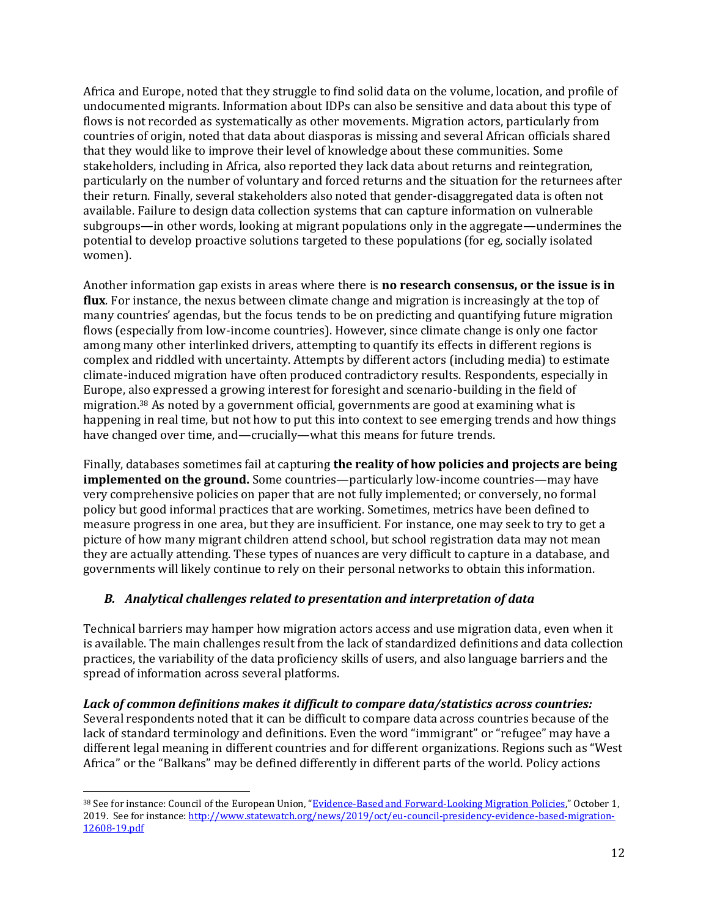Africa and Europe, noted that they struggle to find solid data on the volume, location, and profile of undocumented migrants. Information about IDPs can also be sensitive and data about this type of flows is not recorded as systematically as other movements. Migration actors, particularly from countries of origin, noted that data about diasporas is missing and several African officials shared that they would like to improve their level of knowledge about these communities. Some stakeholders, including in Africa, also reported they lack data about returns and reintegration, particularly on the number of voluntary and forced returns and the situation for the returnees after their return. Finally, several stakeholders also noted that gender-disaggregated data is often not available. Failure to design data collection systems that can capture information on vulnerable subgroups—in other words, looking at migrant populations only in the aggregate—undermines the potential to develop proactive solutions targeted to these populations (for eg, socially isolated women).

Another information gap exists in areas where there is **no research consensus, or the issue is in flux**. For instance, the nexus between climate change and migration is increasingly at the top of many countries' agendas, but the focus tends to be on predicting and quantifying future migration flows (especially from low-income countries). However, since climate change is only one factor among many other interlinked drivers, attempting to quantify its effects in different regions is complex and riddled with uncertainty. Attempts by different actors (including media) to estimate climate-induced migration have often produced contradictory results. Respondents, especially in Europe, also expressed a growing interest for foresight and scenario-building in the field of migration.<sup>38</sup> As noted by a government official, governments are good at examining what is happening in real time, but not how to put this into context to see emerging trends and how things have changed over time, and—crucially—what this means for future trends.

Finally, databases sometimes fail at capturing **the reality of how policies and projects are being implemented on the ground.** Some countries—particularly low-income countries—may have very comprehensive policies on paper that are not fully implemented; or conversely, no formal policy but good informal practices that are working. Sometimes, metrics have been defined to measure progress in one area, but they are insufficient. For instance, one may seek to try to get a picture of how many migrant children attend school, but school registration data may not mean they are actually attending. These types of nuances are very difficult to capture in a database, and governments will likely continue to rely on their personal networks to obtain this information.

#### *B. Analytical challenges related to presentation and interpretation of data*

Technical barriers may hamper how migration actors access and use migration data, even when it is available. The main challenges result from the lack of standardized definitions and data collection practices, the variability of the data proficiency skills of users, and also language barriers and the spread of information across several platforms.

*Lack of common definitions makes it difficult to compare data/statistics across countries:* Several respondents noted that it can be difficult to compare data across countries because of the lack of standard terminology and definitions. Even the word "immigrant" or "refugee" may have a different legal meaning in different countries and for different organizations. Regions such as "West Africa" or the "Balkans" may be defined differently in different parts of the world. Policy actions

<sup>&</sup>lt;sup>38</sup> See for instance: Council of the European Union, "[Evidence-Based and Forward-Looking Migration Policies](http://www.statewatch.org/news/2019/oct/eu-council-presidency-evidence-based-migration-12608-19.pdf)," October 1, 2019. See for instance[: http://www.statewatch.org/news/2019/oct/eu-council-presidency-evidence-based-migration-](http://www.statewatch.org/news/2019/oct/eu-council-presidency-evidence-based-migration-12608-19.pdf)[12608-19.pdf](http://www.statewatch.org/news/2019/oct/eu-council-presidency-evidence-based-migration-12608-19.pdf)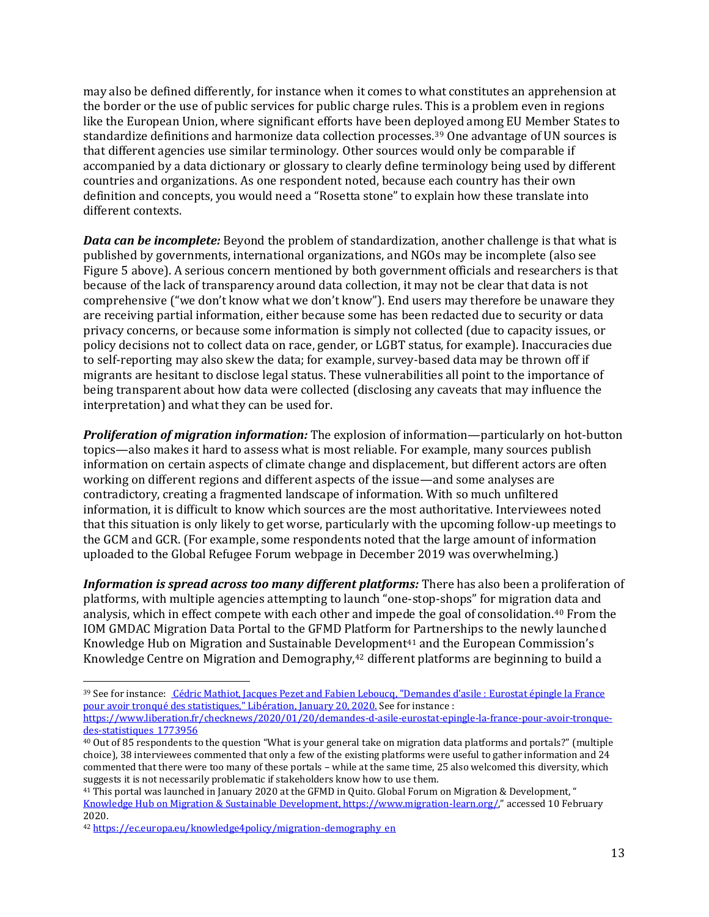may also be defined differently, for instance when it comes to what constitutes an apprehension at the border or the use of public services for public charge rules. This is a problem even in regions like the European Union, where significant efforts have been deployed among EU Member States to standardize definitions and harmonize data collection processes.<sup>39</sup> One advantage of UN sources is that different agencies use similar terminology. Other sources would only be comparable if accompanied by a data dictionary or glossary to clearly define terminology being used by different countries and organizations. As one respondent noted, because each country has their own definition and concepts, you would need a "Rosetta stone" to explain how these translate into different contexts.

*Data can be incomplete:* Beyond the problem of standardization, another challenge is that what is published by governments, international organizations, and NGOs may be incomplete (also see Figure 5 above). A serious concern mentioned by both government officials and researchers is that because of the lack of transparency around data collection, it may not be clear that data is not comprehensive ("we don't know what we don't know"). End users may therefore be unaware they are receiving partial information, either because some has been redacted due to security or data privacy concerns, or because some information is simply not collected (due to capacity issues, or policy decisions not to collect data on race, gender, or LGBT status, for example). Inaccuracies due to self-reporting may also skew the data; for example, survey-based data may be thrown off if migrants are hesitant to disclose legal status. These vulnerabilities all point to the importance of being transparent about how data were collected (disclosing any caveats that may influence the interpretation) and what they can be used for.

*Proliferation of migration information:* The explosion of information—particularly on hot-button topics—also makes it hard to assess what is most reliable. For example, many sources publish information on certain aspects of climate change and displacement, but different actors are often working on different regions and different aspects of the issue—and some analyses are contradictory, creating a fragmented landscape of information. With so much unfiltered information, it is difficult to know which sources are the most authoritative. Interviewees noted that this situation is only likely to get worse, particularly with the upcoming follow-up meetings to the GCM and GCR. (For example, some respondents noted that the large amount of information uploaded to the Global Refugee Forum webpage in December 2019 was overwhelming.)

*Information is spread across too many different platforms:* There has also been a proliferation of platforms, with multiple agencies attempting to launch "one-stop-shops" for migration data and analysis, which in effect compete with each other and impede the goal of consolidation.<sup>40</sup> From the IOM GMDAC Migration Data Portal to the GFMD Platform for Partnerships to the newly launched Knowledge Hub on Migration and Sustainable Development<sup>41</sup> and the European Commission's Knowledge Centre on Migration and Demography,<sup>42</sup> different platforms are beginning to build a

<sup>39</sup> See for instance: [Cédric Mathiot,](https://www.liberation.fr/auteur/7104-cedric-mathiot) [Jacques Pezet](https://www.liberation.fr/auteur/15868-jacques-pezet) and [Fabien Leboucq,](https://www.liberation.fr/auteur/17946-fabien-leboucq) "Demandes d'asile : Eurostat épingle la France pour avoir tronqué des statistiques," Libération, January 20, 2020. See for instance : [https://www.liberation.fr/checknews/2020/01/20/demandes-d-asile-eurostat-epingle-la-france-pour-avoir-tronque](https://www.liberation.fr/checknews/2020/01/20/demandes-d-asile-eurostat-epingle-la-france-pour-avoir-tronque-des-statistiques_1773956)[des-statistiques\\_1773956](https://www.liberation.fr/checknews/2020/01/20/demandes-d-asile-eurostat-epingle-la-france-pour-avoir-tronque-des-statistiques_1773956)

<sup>40</sup> Out of 85 respondents to the question "What is your general take on migration data platforms and portals?" (multiple choice), 38 interviewees commented that only a few of the existing platforms were useful to gather information and 24 commented that there were too many of these portals – while at the same time, 25 also welcomed this diversity, which suggests it is not necessarily problematic if stakeholders know how to use them.

<sup>41</sup> This portal was launched in January 2020 at the GFMD in Quito. Global Forum on Migration & Development, " [Knowledge Hub on Migration & Sustainable Development, https://www.migration-learn.org/](file:///C:/Users/aidac/Downloads/Knowledge%20Hub%20on%20Migration%20&%20Sustainable%20Development,%20https:/www.migration-learn.org/)," accessed 10 February 2020.

<sup>42</sup> [https://ec.europa.eu/knowledge4policy/migration-demography\\_en](https://ec.europa.eu/knowledge4policy/migration-demography_en)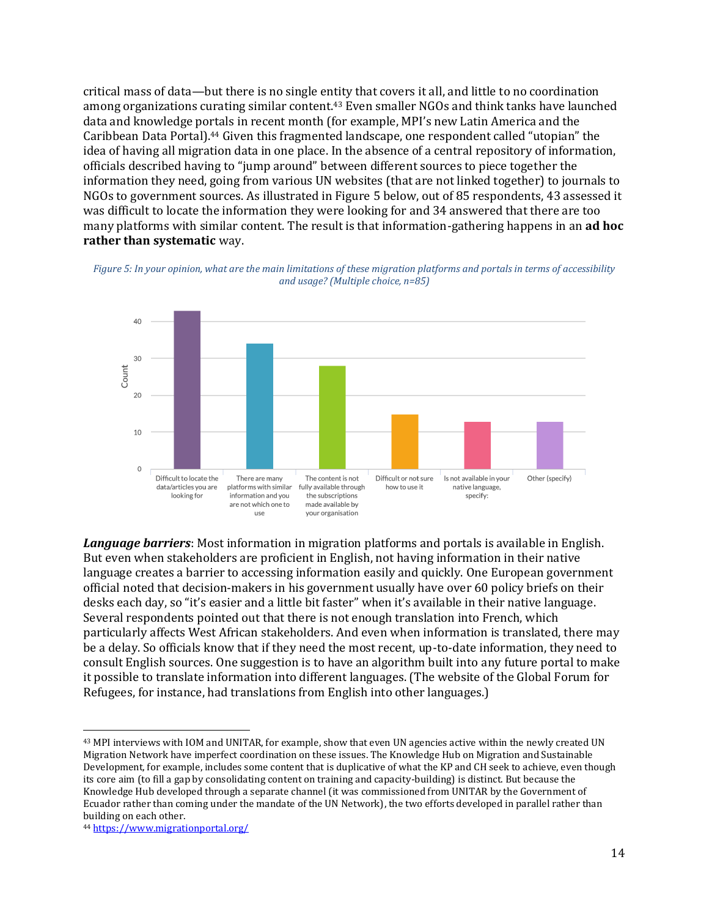critical mass of data—but there is no single entity that covers it all, and little to no coordination among organizations curating similar content. <sup>43</sup> Even smaller NGOs and think tanks have launched data and knowledge portals in recent month (for example, MPI's new Latin America and the Caribbean Data Portal).<sup>44</sup> Given this fragmented landscape, one respondent called "utopian" the idea of having all migration data in one place. In the absence of a central repository of information, officials described having to "jump around" between different sources to piece together the information they need, going from various UN websites (that are not linked together) to journals to NGOs to government sources. As illustrated in Figure 5 below, out of 85 respondents, 43 assessed it was difficult to locate the information they were looking for and 34 answered that there are too many platforms with similar content. The result is that information-gathering happens in an **ad hoc rather than systematic** way.

*Figure 5: In your opinion, what are the main limitations of these migration platforms and portals in terms of accessibility and usage? (Multiple choice, n=85)*



*Language barriers*: Most information in migration platforms and portals is available in English. But even when stakeholders are proficient in English, not having information in their native language creates a barrier to accessing information easily and quickly. One European government official noted that decision-makers in his government usually have over 60 policy briefs on their desks each day, so "it's easier and a little bit faster" when it's available in their native language. Several respondents pointed out that there is not enough translation into French, which particularly affects West African stakeholders. And even when information is translated, there may be a delay. So officials know that if they need the most recent, up-to-date information, they need to consult English sources. One suggestion is to have an algorithm built into any future portal to make it possible to translate information into different languages. (The website of the Global Forum for Refugees, for instance, had translations from English into other languages.)

<sup>43</sup> MPI interviews with IOM and UNITAR, for example, show that even UN agencies active within the newly created UN Migration Network have imperfect coordination on these issues. The Knowledge Hub on Migration and Sustainable Development, for example, includes some content that is duplicative of what the KP and CH seek to achieve, even though its core aim (to fill a gap by consolidating content on training and capacity-building) is distinct. But because the Knowledge Hub developed through a separate channel (it was commissioned from UNITAR by the Government of Ecuador rather than coming under the mandate of the UN Network), the two efforts developed in parallel rather than building on each other.

<sup>44</sup> <https://www.migrationportal.org/>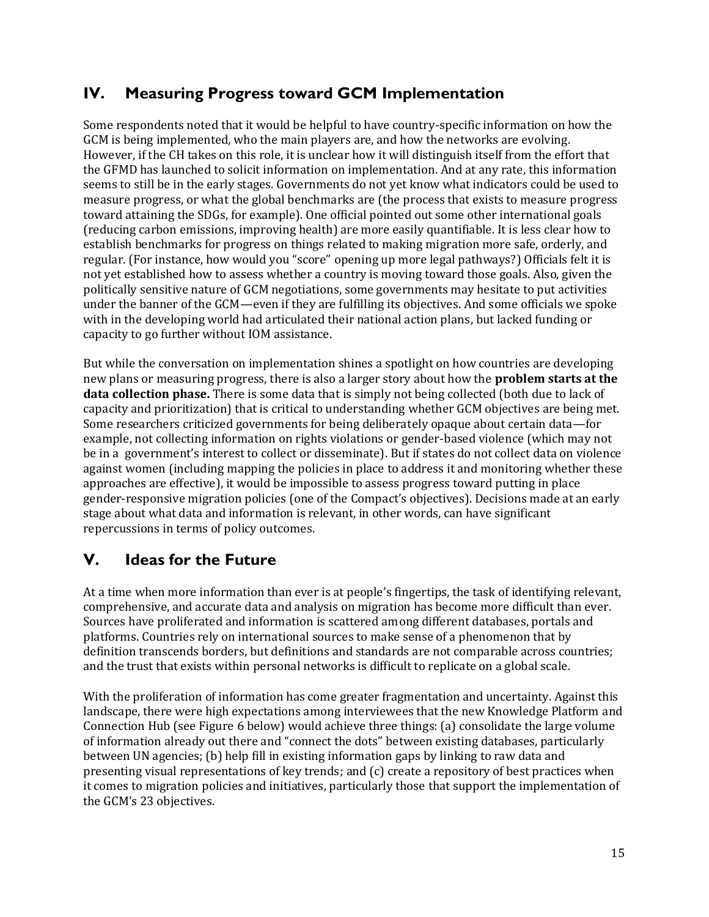# **IV. Measuring Progress toward GCM Implementation**

Some respondents noted that it would be helpful to have country-specific information on how the GCM is being implemented, who the main players are, and how the networks are evolving. However, if the CH takes on this role, it is unclear how it will distinguish itself from the effort that the GFMD has launched to solicit information on implementation. And at any rate, this information seems to still be in the early stages. Governments do not yet know what indicators could be used to measure progress, or what the global benchmarks are (the process that exists to measure progress toward attaining the SDGs, for example). One official pointed out some other international goals (reducing carbon emissions, improving health) are more easily quantifiable. It is less clear how to establish benchmarks for progress on things related to making migration more safe, orderly, and regular. (For instance, how would you "score" opening up more legal pathways?) Officials felt it is not yet established how to assess whether a country is moving toward those goals. Also, given the politically sensitive nature of GCM negotiations, some governments may hesitate to put activities under the banner of the GCM—even if they are fulfilling its objectives. And some officials we spoke with in the developing world had articulated their national action plans, but lacked funding or capacity to go further without IOM assistance.

But while the conversation on implementation shines a spotlight on how countries are developing new plans or measuring progress, there is also a larger story about how the **problem starts at the data collection phase.** There is some data that is simply not being collected (both due to lack of capacity and prioritization) that is critical to understanding whether GCM objectives are being met. Some researchers criticized governments for being deliberately opaque about certain data—for example, not collecting information on rights violations or gender-based violence (which may not be in a government's interest to collect or disseminate). But if states do not collect data on violence against women (including mapping the policies in place to address it and monitoring whether these approaches are effective), it would be impossible to assess progress toward putting in place gender-responsive migration policies (one of the Compact's objectives). Decisions made at an early stage about what data and information is relevant, in other words, can have significant repercussions in terms of policy outcomes.

# **V. Ideas for the Future**

At a time when more information than ever is at people's fingertips, the task of identifying relevant, comprehensive, and accurate data and analysis on migration has become more difficult than ever. Sources have proliferated and information is scattered among different databases, portals and platforms. Countries rely on international sources to make sense of a phenomenon that by definition transcends borders, but definitions and standards are not comparable across countries; and the trust that exists within personal networks is difficult to replicate on a global scale.

With the proliferation of information has come greater fragmentation and uncertainty. Against this landscape, there were high expectations among interviewees that the new Knowledge Platform and Connection Hub (see Figure 6 below) would achieve three things: (a) consolidate the large volume of information already out there and "connect the dots" between existing databases, particularly between UN agencies; (b) help fill in existing information gaps by linking to raw data and presenting visual representations of key trends; and (c) create a repository of best practices when it comes to migration policies and initiatives, particularly those that support the implementation of the GCM's 23 objectives.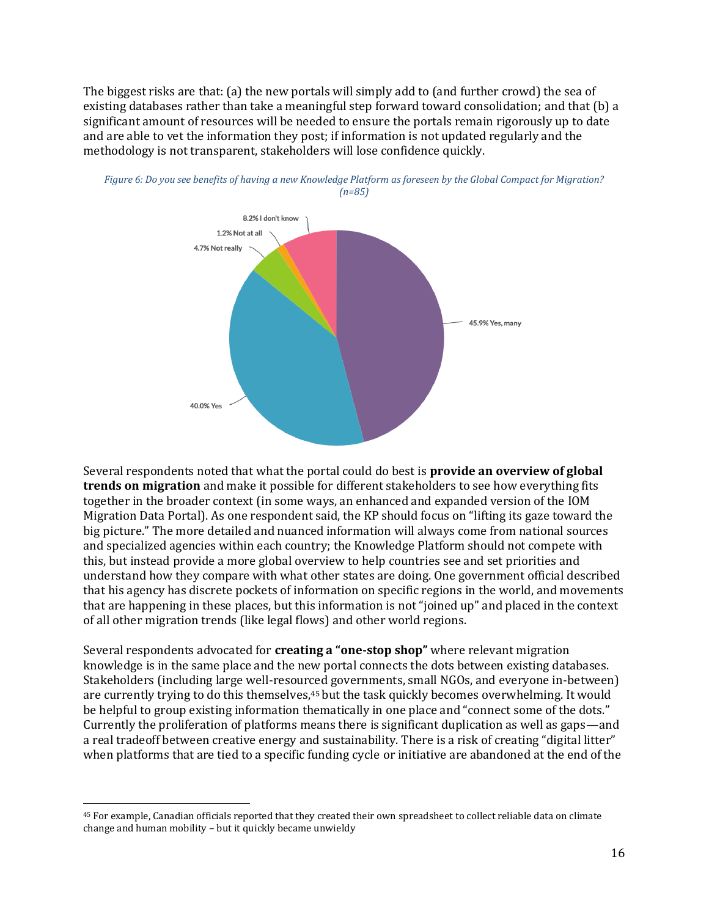The biggest risks are that: (a) the new portals will simply add to (and further crowd) the sea of existing databases rather than take a meaningful step forward toward consolidation; and that (b) a significant amount of resources will be needed to ensure the portals remain rigorously up to date and are able to vet the information they post; if information is not updated regularly and the methodology is not transparent, stakeholders will lose confidence quickly.





Several respondents noted that what the portal could do best is **provide an overview of global trends on migration** and make it possible for different stakeholders to see how everything fits together in the broader context (in some ways, an enhanced and expanded version of the IOM Migration Data Portal). As one respondent said, the KP should focus on "lifting its gaze toward the big picture." The more detailed and nuanced information will always come from national sources and specialized agencies within each country; the Knowledge Platform should not compete with this, but instead provide a more global overview to help countries see and set priorities and understand how they compare with what other states are doing. One government official described that his agency has discrete pockets of information on specific regions in the world, and movements that are happening in these places, but this information is not "joined up" and placed in the context of all other migration trends (like legal flows) and other world regions.

Several respondents advocated for **creating a "one-stop shop"** where relevant migration knowledge is in the same place and the new portal connects the dots between existing databases. Stakeholders (including large well-resourced governments, small NGOs, and everyone in-between) are currently trying to do this themselves,<sup>45</sup> but the task quickly becomes overwhelming. It would be helpful to group existing information thematically in one place and "connect some of the dots." Currently the proliferation of platforms means there is significant duplication as well as gaps—and a real tradeoff between creative energy and sustainability. There is a risk of creating "digital litter" when platforms that are tied to a specific funding cycle or initiative are abandoned at the end of the

<sup>45</sup> For example, Canadian officials reported that they created their own spreadsheet to collect reliable data on climate change and human mobility – but it quickly became unwieldy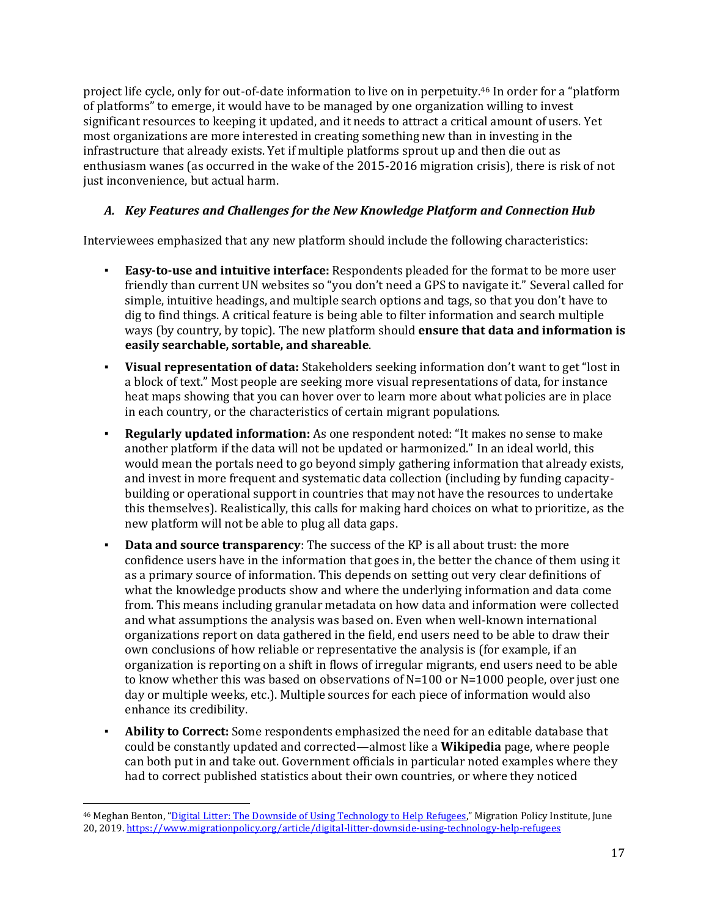project life cycle, only for out-of-date information to live on in perpetuity. <sup>46</sup> In order for a "platform of platforms" to emerge, it would have to be managed by one organization willing to invest significant resources to keeping it updated, and it needs to attract a critical amount of users. Yet most organizations are more interested in creating something new than in investing in the infrastructure that already exists. Yet if multiple platforms sprout up and then die out as enthusiasm wanes (as occurred in the wake of the 2015-2016 migration crisis), there is risk of not just inconvenience, but actual harm.

#### *A. Key Features and Challenges for the New Knowledge Platform and Connection Hub*

Interviewees emphasized that any new platform should include the following characteristics:

- **Easy-to-use and intuitive interface:** Respondents pleaded for the format to be more user friendly than current UN websites so "you don't need a GPS to navigate it." Several called for simple, intuitive headings, and multiple search options and tags, so that you don't have to dig to find things. A critical feature is being able to filter information and search multiple ways (by country, by topic). The new platform should **ensure that data and information is easily searchable, sortable, and shareable**.
- **Visual representation of data:** Stakeholders seeking information don't want to get "lost in a block of text." Most people are seeking more visual representations of data, for instance heat maps showing that you can hover over to learn more about what policies are in place in each country, or the characteristics of certain migrant populations.
- **Regularly updated information:** As one respondent noted: "It makes no sense to make another platform if the data will not be updated or harmonized." In an ideal world, this would mean the portals need to go beyond simply gathering information that already exists, and invest in more frequent and systematic data collection (including by funding capacitybuilding or operational support in countries that may not have the resources to undertake this themselves). Realistically, this calls for making hard choices on what to prioritize, as the new platform will not be able to plug all data gaps.
- **Data and source transparency**: The success of the KP is all about trust: the more confidence users have in the information that goes in, the better the chance of them using it as a primary source of information. This depends on setting out very clear definitions of what the knowledge products show and where the underlying information and data come from. This means including granular metadata on how data and information were collected and what assumptions the analysis was based on. Even when well-known international organizations report on data gathered in the field, end users need to be able to draw their own conclusions of how reliable or representative the analysis is (for example, if an organization is reporting on a shift in flows of irregular migrants, end users need to be able to know whether this was based on observations of N=100 or N=1000 people, over just one day or multiple weeks, etc.). Multiple sources for each piece of information would also enhance its credibility.
- Ability to Correct: Some respondents emphasized the need for an editable database that could be constantly updated and corrected—almost like a **Wikipedia** page, where people can both put in and take out. Government officials in particular noted examples where they had to correct published statistics about their own countries, or where they noticed

<sup>&</sup>lt;sup>46</sup> Meghan Benton, "[Digital Litter: The Downside of Using Technology to Help](file:///C:/Users/nbogdan/AppData/Local/Microsoft/Windows/INetCache/Content.Outlook/TZ85BEQD/Digital%20Litter:%20The%20Downside%20of%20Using%20Technology%20to%20Help%20Refugees) Refugees," Migration Policy Institute, June 20, 2019[. https://www.migrationpolicy.org/article/digital-litter-downside-using-technology-help-refugees](https://www.migrationpolicy.org/article/digital-litter-downside-using-technology-help-refugees)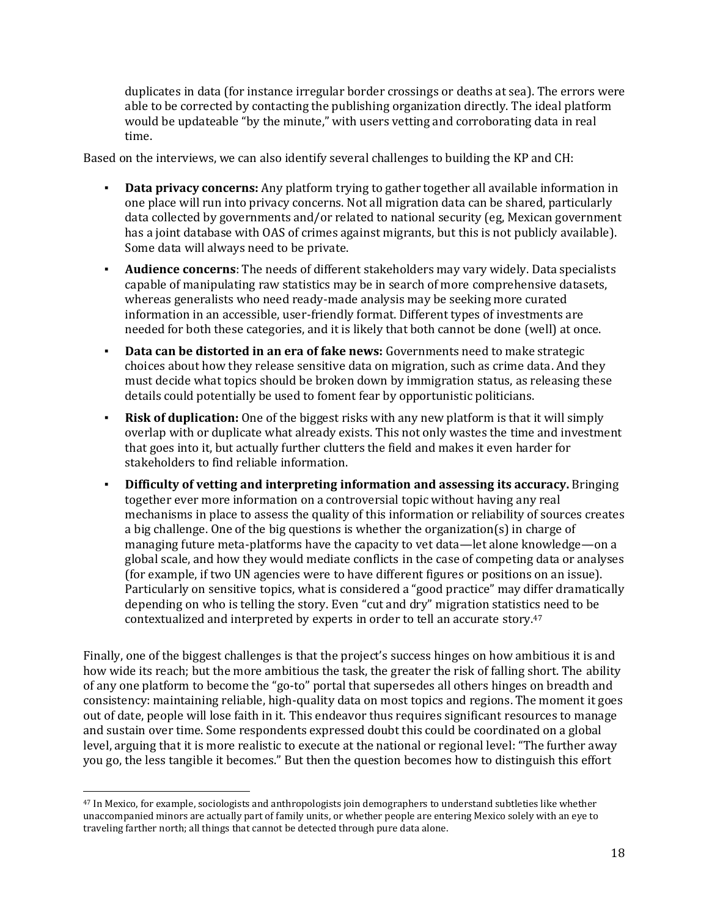duplicates in data (for instance irregular border crossings or deaths at sea). The errors were able to be corrected by contacting the publishing organization directly. The ideal platform would be updateable "by the minute," with users vetting and corroborating data in real time.

Based on the interviews, we can also identify several challenges to building the KP and CH:

- **Data privacy concerns:** Any platform trying to gather together all available information in one place will run into privacy concerns. Not all migration data can be shared, particularly data collected by governments and/or related to national security (eg, Mexican government has a joint database with OAS of crimes against migrants, but this is not publicly available). Some data will always need to be private.
- **Audience concerns**: The needs of different stakeholders may vary widely. Data specialists capable of manipulating raw statistics may be in search of more comprehensive datasets, whereas generalists who need ready-made analysis may be seeking more curated information in an accessible, user-friendly format. Different types of investments are needed for both these categories, and it is likely that both cannot be done (well) at once.
- **Data can be distorted in an era of fake news:** Governments need to make strategic choices about how they release sensitive data on migration, such as crime data. And they must decide what topics should be broken down by immigration status, as releasing these details could potentially be used to foment fear by opportunistic politicians.
- **Risk of duplication:** One of the biggest risks with any new platform is that it will simply overlap with or duplicate what already exists. This not only wastes the time and investment that goes into it, but actually further clutters the field and makes it even harder for stakeholders to find reliable information.
- **Difficulty of vetting and interpreting information and assessing its accuracy.** Bringing together ever more information on a controversial topic without having any real mechanisms in place to assess the quality of this information or reliability of sources creates a big challenge. One of the big questions is whether the organization(s) in charge of managing future meta-platforms have the capacity to vet data—let alone knowledge—on a global scale, and how they would mediate conflicts in the case of competing data or analyses (for example, if two UN agencies were to have different figures or positions on an issue). Particularly on sensitive topics, what is considered a "good practice" may differ dramatically depending on who is telling the story. Even "cut and dry" migration statistics need to be contextualized and interpreted by experts in order to tell an accurate story. 47

Finally, one of the biggest challenges is that the project's success hinges on how ambitious it is and how wide its reach; but the more ambitious the task, the greater the risk of falling short. The ability of any one platform to become the "go-to" portal that supersedes all others hinges on breadth and consistency: maintaining reliable, high-quality data on most topics and regions. The moment it goes out of date, people will lose faith in it. This endeavor thus requires significant resources to manage and sustain over time. Some respondents expressed doubt this could be coordinated on a global level, arguing that it is more realistic to execute at the national or regional level: "The further away you go, the less tangible it becomes." But then the question becomes how to distinguish this effort

<sup>47</sup> In Mexico, for example, sociologists and anthropologists join demographers to understand subtleties like whether unaccompanied minors are actually part of family units, or whether people are entering Mexico solely with an eye to traveling farther north; all things that cannot be detected through pure data alone.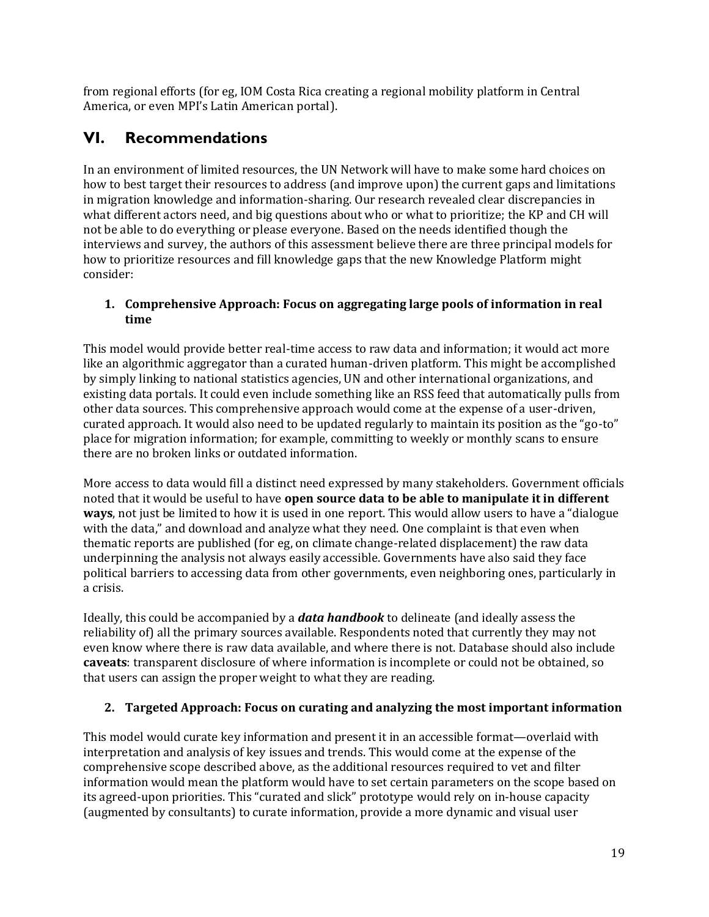from regional efforts (for eg, IOM Costa Rica creating a regional mobility platform in Central America, or even MPI's Latin American portal).

# **VI. Recommendations**

In an environment of limited resources, the UN Network will have to make some hard choices on how to best target their resources to address (and improve upon) the current gaps and limitations in migration knowledge and information-sharing. Our research revealed clear discrepancies in what different actors need, and big questions about who or what to prioritize; the KP and CH will not be able to do everything or please everyone. Based on the needs identified though the interviews and survey, the authors of this assessment believe there are three principal models for how to prioritize resources and fill knowledge gaps that the new Knowledge Platform might consider:

#### **1. Comprehensive Approach: Focus on aggregating large pools of information in real time**

This model would provide better real-time access to raw data and information; it would act more like an algorithmic aggregator than a curated human-driven platform. This might be accomplished by simply linking to national statistics agencies, UN and other international organizations, and existing data portals. It could even include something like an RSS feed that automatically pulls from other data sources. This comprehensive approach would come at the expense of a user-driven, curated approach. It would also need to be updated regularly to maintain its position as the "go-to" place for migration information; for example, committing to weekly or monthly scans to ensure there are no broken links or outdated information.

More access to data would fill a distinct need expressed by many stakeholders. Government officials noted that it would be useful to have **open source data to be able to manipulate it in different ways**, not just be limited to how it is used in one report. This would allow users to have a "dialogue with the data," and download and analyze what they need. One complaint is that even when thematic reports are published (for eg, on climate change-related displacement) the raw data underpinning the analysis not always easily accessible. Governments have also said they face political barriers to accessing data from other governments, even neighboring ones, particularly in a crisis.

Ideally, this could be accompanied by a *data handbook* to delineate (and ideally assess the reliability of) all the primary sources available. Respondents noted that currently they may not even know where there is raw data available, and where there is not. Database should also include **caveats**: transparent disclosure of where information is incomplete or could not be obtained, so that users can assign the proper weight to what they are reading.

#### **2. Targeted Approach: Focus on curating and analyzing the most important information**

This model would curate key information and present it in an accessible format—overlaid with interpretation and analysis of key issues and trends. This would come at the expense of the comprehensive scope described above, as the additional resources required to vet and filter information would mean the platform would have to set certain parameters on the scope based on its agreed-upon priorities. This "curated and slick" prototype would rely on in-house capacity (augmented by consultants) to curate information, provide a more dynamic and visual user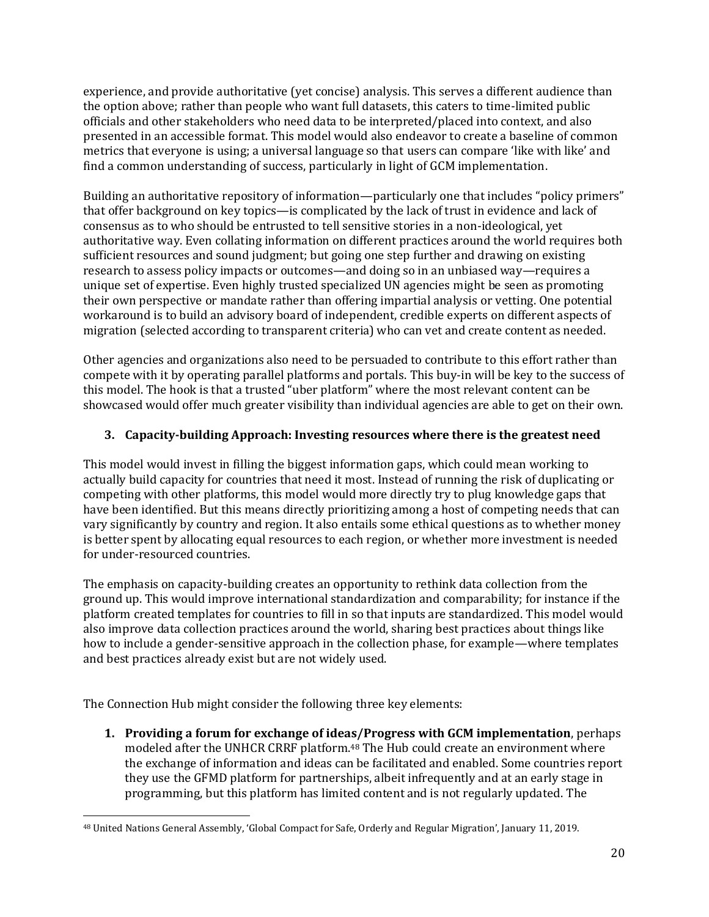experience, and provide authoritative (yet concise) analysis. This serves a different audience than the option above; rather than people who want full datasets, this caters to time-limited public officials and other stakeholders who need data to be interpreted/placed into context, and also presented in an accessible format. This model would also endeavor to create a baseline of common metrics that everyone is using; a universal language so that users can compare 'like with like' and find a common understanding of success, particularly in light of GCM implementation.

Building an authoritative repository of information—particularly one that includes "policy primers" that offer background on key topics—is complicated by the lack of trust in evidence and lack of consensus as to who should be entrusted to tell sensitive stories in a non-ideological, yet authoritative way. Even collating information on different practices around the world requires both sufficient resources and sound judgment; but going one step further and drawing on existing research to assess policy impacts or outcomes—and doing so in an unbiased way—requires a unique set of expertise. Even highly trusted specialized UN agencies might be seen as promoting their own perspective or mandate rather than offering impartial analysis or vetting. One potential workaround is to build an advisory board of independent, credible experts on different aspects of migration (selected according to transparent criteria) who can vet and create content as needed.

Other agencies and organizations also need to be persuaded to contribute to this effort rather than compete with it by operating parallel platforms and portals. This buy-in will be key to the success of this model. The hook is that a trusted "uber platform" where the most relevant content can be showcased would offer much greater visibility than individual agencies are able to get on their own.

#### **3. Capacity-building Approach: Investing resources where there is the greatest need**

This model would invest in filling the biggest information gaps, which could mean working to actually build capacity for countries that need it most. Instead of running the risk of duplicating or competing with other platforms, this model would more directly try to plug knowledge gaps that have been identified. But this means directly prioritizing among a host of competing needs that can vary significantly by country and region. It also entails some ethical questions as to whether money is better spent by allocating equal resources to each region, or whether more investment is needed for under-resourced countries.

The emphasis on capacity-building creates an opportunity to rethink data collection from the ground up. This would improve international standardization and comparability; for instance if the platform created templates for countries to fill in so that inputs are standardized. This model would also improve data collection practices around the world, sharing best practices about things like how to include a gender-sensitive approach in the collection phase, for example—where templates and best practices already exist but are not widely used.

The Connection Hub might consider the following three key elements:

**1. Providing a forum for exchange of ideas/Progress with GCM implementation**, perhaps modeled after the UNHCR CRRF platform. <sup>48</sup> The Hub could create an environment where the exchange of information and ideas can be facilitated and enabled. Some countries report they use the GFMD platform for partnerships, albeit infrequently and at an early stage in programming, but this platform has limited content and is not regularly updated. The

<sup>48</sup> United Nations General Assembly, 'Global Compact for Safe, Orderly and Regular Migration', January 11, 2019.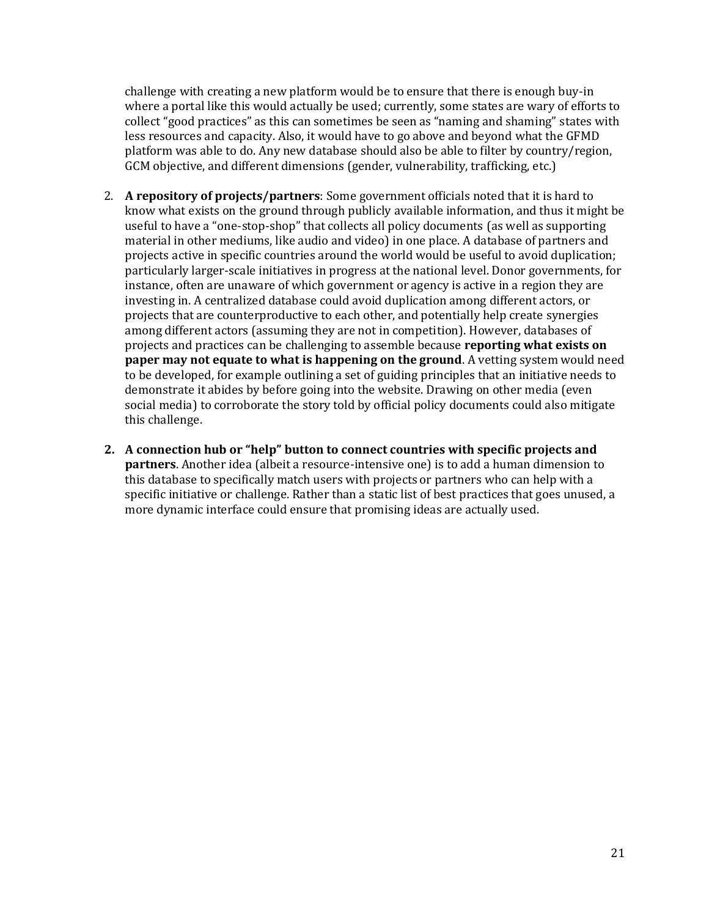challenge with creating a new platform would be to ensure that there is enough buy-in where a portal like this would actually be used; currently, some states are wary of efforts to collect "good practices" as this can sometimes be seen as "naming and shaming" states with less resources and capacity. Also, it would have to go above and beyond what the GFMD platform was able to do. Any new database should also be able to filter by country/region, GCM objective, and different dimensions (gender, vulnerability, trafficking, etc.)

- 2. **A repository of projects/partners**: Some government officials noted that it is hard to know what exists on the ground through publicly available information, and thus it might be useful to have a "one-stop-shop" that collects all policy documents (as well as supporting material in other mediums, like audio and video) in one place. A database of partners and projects active in specific countries around the world would be useful to avoid duplication; particularly larger-scale initiatives in progress at the national level. Donor governments, for instance, often are unaware of which government or agency is active in a region they are investing in. A centralized database could avoid duplication among different actors, or projects that are counterproductive to each other, and potentially help create synergies among different actors (assuming they are not in competition). However, databases of projects and practices can be challenging to assemble because **reporting what exists on paper may not equate to what is happening on the ground**. A vetting system would need to be developed, for example outlining a set of guiding principles that an initiative needs to demonstrate it abides by before going into the website. Drawing on other media (even social media) to corroborate the story told by official policy documents could also mitigate this challenge.
- **2. A connection hub or "help" button to connect countries with specific projects and partners**. Another idea (albeit a resource-intensive one) is to add a human dimension to this database to specifically match users with projects or partners who can help with a specific initiative or challenge. Rather than a static list of best practices that goes unused, a more dynamic interface could ensure that promising ideas are actually used.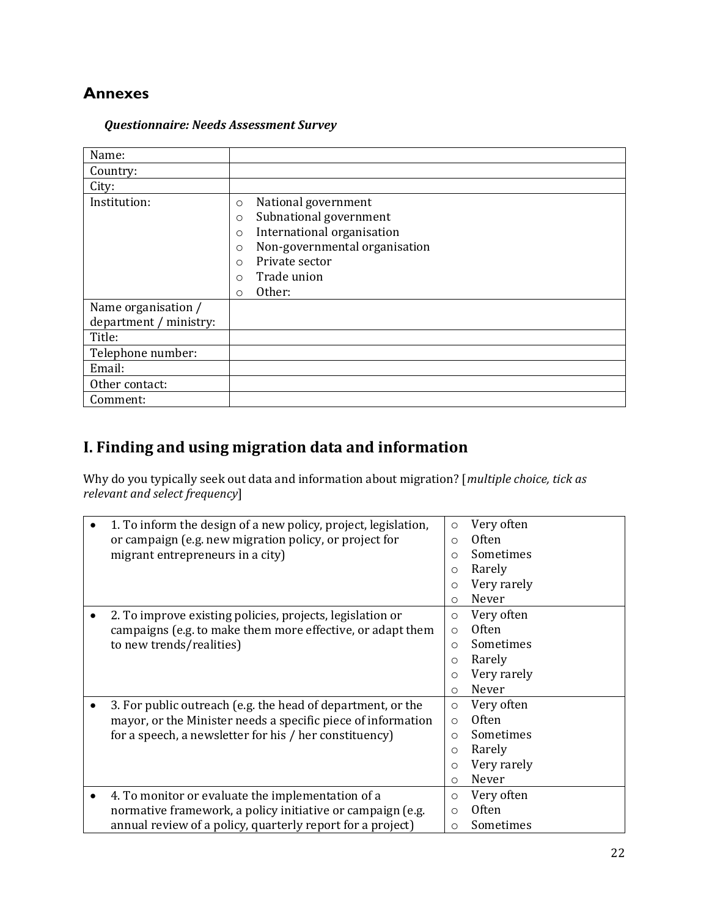# **Annexes**

#### *Questionnaire: Needs Assessment Survey*

| Name:                  |                                          |
|------------------------|------------------------------------------|
| Country:               |                                          |
| City:                  |                                          |
| Institution:           | National government<br>$\circ$           |
|                        | Subnational government<br>$\circ$        |
|                        | International organisation<br>$\circ$    |
|                        | Non-governmental organisation<br>$\circ$ |
|                        | Private sector<br>$\Omega$               |
|                        | Trade union<br>$\circ$                   |
|                        | Other:<br>$\circ$                        |
| Name organisation /    |                                          |
| department / ministry: |                                          |
| Title:                 |                                          |
| Telephone number:      |                                          |
| Email:                 |                                          |
| Other contact:         |                                          |
| Comment:               |                                          |

# **I. Finding and using migration data and information**

Why do you typically seek out data and information about migration? [*multiple choice, tick as relevant and select frequency*]

|   | 1. To inform the design of a new policy, project, legislation,<br>or campaign (e.g. new migration policy, or project for<br>migrant entrepreneurs in a city)                          | $\circ$<br>$\circ$<br>O<br>$\circ$<br>$\circ$               | Very often<br>0ften<br>Sometimes<br>Rarely<br>Very rarely                 |
|---|---------------------------------------------------------------------------------------------------------------------------------------------------------------------------------------|-------------------------------------------------------------|---------------------------------------------------------------------------|
|   |                                                                                                                                                                                       | $\circ$                                                     | Never                                                                     |
|   | 2. To improve existing policies, projects, legislation or<br>campaigns (e.g. to make them more effective, or adapt them<br>to new trends/realities)                                   | O<br>$\Omega$<br>$\circ$<br>$\circ$<br>$\circ$<br>O         | Very often<br><b>Often</b><br>Sometimes<br>Rarely<br>Very rarely<br>Never |
|   | 3. For public outreach (e.g. the head of department, or the<br>mayor, or the Minister needs a specific piece of information<br>for a speech, a newsletter for his / her constituency) | $\circ$<br>$\Omega$<br>$\Omega$<br>$\Omega$<br>O<br>$\circ$ | Very often<br><b>Often</b><br>Sometimes<br>Rarely<br>Very rarely<br>Never |
| ٠ | 4. To monitor or evaluate the implementation of a<br>normative framework, a policy initiative or campaign (e.g.<br>annual review of a policy, quarterly report for a project)         | $\circ$<br>O<br>O                                           | Very often<br><b>Often</b><br>Sometimes                                   |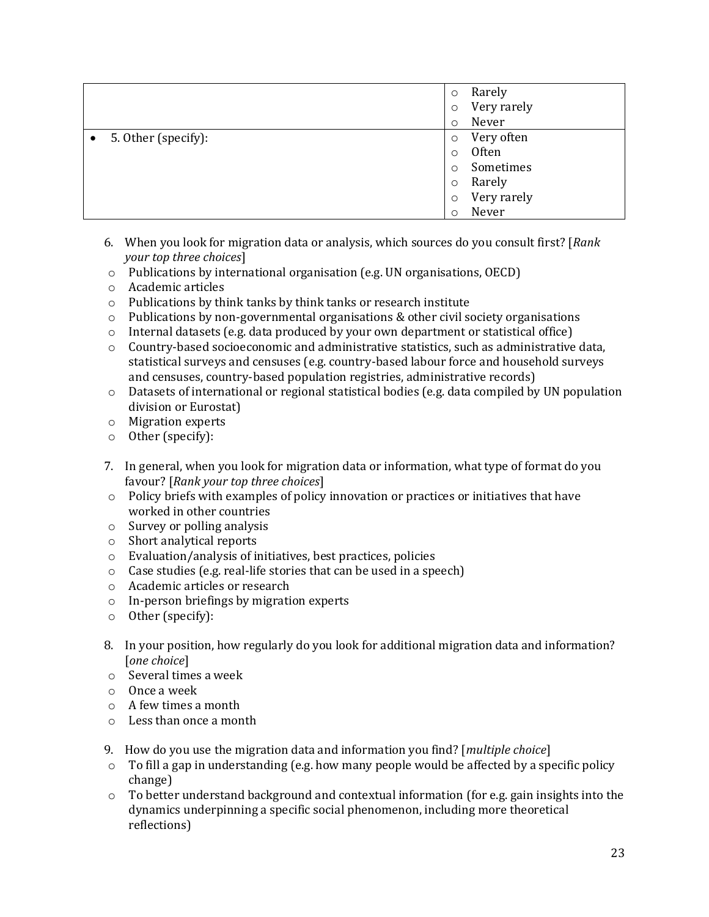|                     | $\circ$  | Rarely      |
|---------------------|----------|-------------|
|                     | $\circ$  | Very rarely |
|                     | $\circ$  | Never       |
| 5. Other (specify): | $\circ$  | Very often  |
|                     | $\circ$  | Often       |
|                     | $\Omega$ | Sometimes   |
|                     | $\circ$  | Rarely      |
|                     | $\circ$  | Very rarely |
|                     | $\circ$  | Never       |

- 6. When you look for migration data or analysis, which sources do you consult first? [*Rank your top three choices*]
- o Publications by international organisation (e.g. UN organisations, OECD)
- o Academic articles
- o Publications by think tanks by think tanks or research institute
- $\circ$  Publications by non-governmental organisations & other civil society organisations
- $\circ$  Internal datasets (e.g. data produced by your own department or statistical office)
- o Country-based socioeconomic and administrative statistics, such as administrative data, statistical surveys and censuses (e.g. country-based labour force and household surveys and censuses, country-based population registries, administrative records)
- $\circ$  Datasets of international or regional statistical bodies (e.g. data compiled by UN population division or Eurostat)
- o Migration experts
- o Other (specify):
- 7. In general, when you look for migration data or information, what type of format do you favour? [*Rank your top three choices*]
- o Policy briefs with examples of policy innovation or practices or initiatives that have worked in other countries
- o Survey or polling analysis
- o Short analytical reports
- o Evaluation/analysis of initiatives, best practices, policies
- o Case studies (e.g. real-life stories that can be used in a speech)
- o Academic articles or research
- o In-person briefings by migration experts
- o Other (specify):
- 8. In your position, how regularly do you look for additional migration data and information? [*one choice*]
- o Several times a week
- o Once a week
- o A few times a month
- o Less than once a month
- 9. How do you use the migration data and information you find? [*multiple choice*]
- o To fill a gap in understanding (e.g. how many people would be affected by a specific policy change)
- $\circ$  To better understand background and contextual information (for e.g. gain insights into the dynamics underpinning a specific social phenomenon, including more theoretical reflections)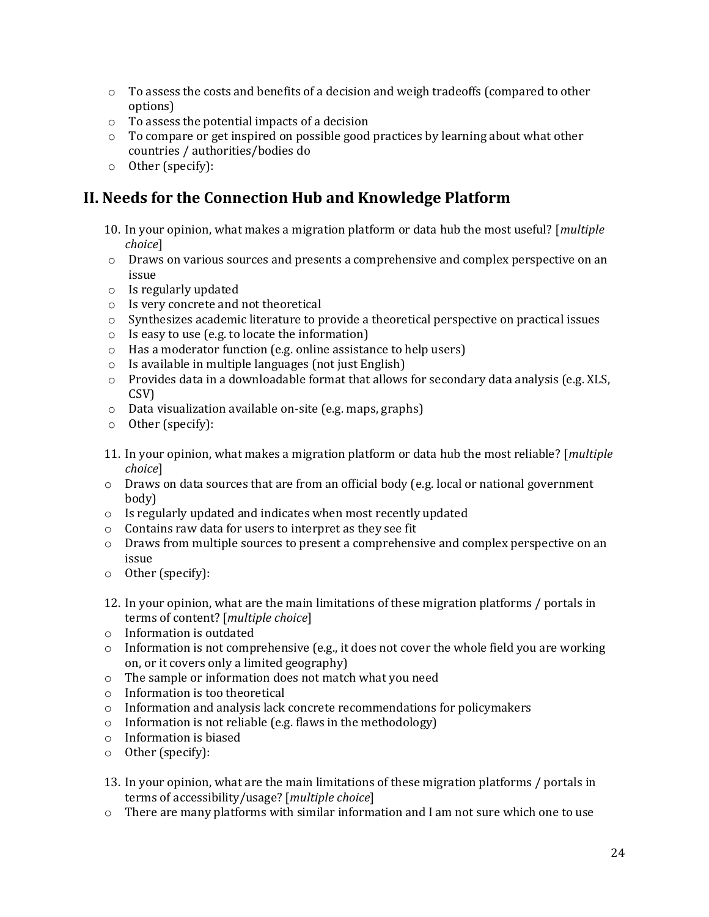- $\circ$  To assess the costs and benefits of a decision and weigh tradeoffs (compared to other options)
- o To assess the potential impacts of a decision
- $\circ$  To compare or get inspired on possible good practices by learning about what other countries / authorities/bodies do
- o Other (specify):

# **II. Needs for the Connection Hub and Knowledge Platform**

- 10. In your opinion, what makes a migration platform or data hub the most useful? [*multiple choice*]
- o Draws on various sources and presents a comprehensive and complex perspective on an issue
- o Is regularly updated
- o Is very concrete and not theoretical
- o Synthesizes academic literature to provide a theoretical perspective on practical issues
- o Is easy to use (e.g. to locate the information)
- o Has a moderator function (e.g. online assistance to help users)
- o Is available in multiple languages (not just English)
- $\circ$  Provides data in a downloadable format that allows for secondary data analysis (e.g. XLS, CSV)
- o Data visualization available on-site (e.g. maps, graphs)
- o Other (specify):
- 11. In your opinion, what makes a migration platform or data hub the most reliable? [*multiple choice*]
- o Draws on data sources that are from an official body (e.g. local or national government body)
- o Is regularly updated and indicates when most recently updated
- o Contains raw data for users to interpret as they see fit
- o Draws from multiple sources to present a comprehensive and complex perspective on an issue
- o Other (specify):
- 12. In your opinion, what are the main limitations of these migration platforms / portals in terms of content? [*multiple choice*]
- o Information is outdated
- $\circ$  Information is not comprehensive (e.g., it does not cover the whole field you are working on, or it covers only a limited geography)
- o The sample or information does not match what you need
- o Information is too theoretical
- o Information and analysis lack concrete recommendations for policymakers
- $\circ$  Information is not reliable (e.g. flaws in the methodology)
- o Information is biased
- o Other (specify):
- 13. In your opinion, what are the main limitations of these migration platforms / portals in terms of accessibility/usage? [*multiple choice*]
- $\circ$  There are many platforms with similar information and I am not sure which one to use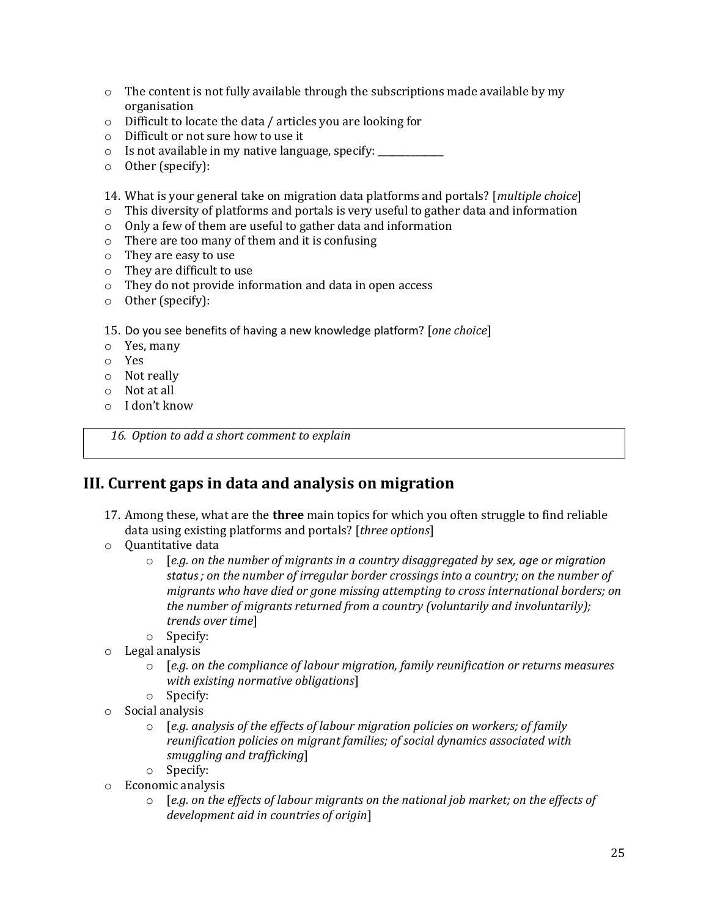- $\circ$  The content is not fully available through the subscriptions made available by my organisation
- o Difficult to locate the data / articles you are looking for
- o Difficult or not sure how to use it
- o Is not available in my native language, specify: \_\_\_\_\_\_\_\_\_\_\_\_\_\_
- o Other (specify):

14. What is your general take on migration data platforms and portals? [*multiple choice*]

- o This diversity of platforms and portals is very useful to gather data and information
- o Only a few of them are useful to gather data and information
- o There are too many of them and it is confusing
- o They are easy to use
- o They are difficult to use
- o They do not provide information and data in open access
- o Other (specify):

15. Do you see benefits of having a new knowledge platform? [*one choice*]

- o Yes, many
- o Yes
- o Not really
- o Not at all
- o I don't know

*16. Option to add a short comment to explain*

#### **III. Current gaps in data and analysis on migration**

- 17. Among these, what are the **three** main topics for which you often struggle to find reliable data using existing platforms and portals? [*three options*]
- o Quantitative data
	- o [*e.g. on the number of migrants in a country disaggregated by sex, age or migration status; on the number of irregular border crossings into a country; on the number of migrants who have died or gone missing attempting to cross international borders; on the number of migrants returned from a country (voluntarily and involuntarily); trends over time*]
	- o Specify:
- o Legal analysis
	- o [*e.g. on the compliance of labour migration, family reunification or returns measures with existing normative obligations*]
	- o Specify:
- o Social analysis
	- o [*e.g. analysis of the effects of labour migration policies on workers; of family reunification policies on migrant families; of social dynamics associated with smuggling and trafficking*]
	- o Specify:
- o Economic analysis
	- o [*e.g. on the effects of labour migrants on the national job market; on the effects of development aid in countries of origin*]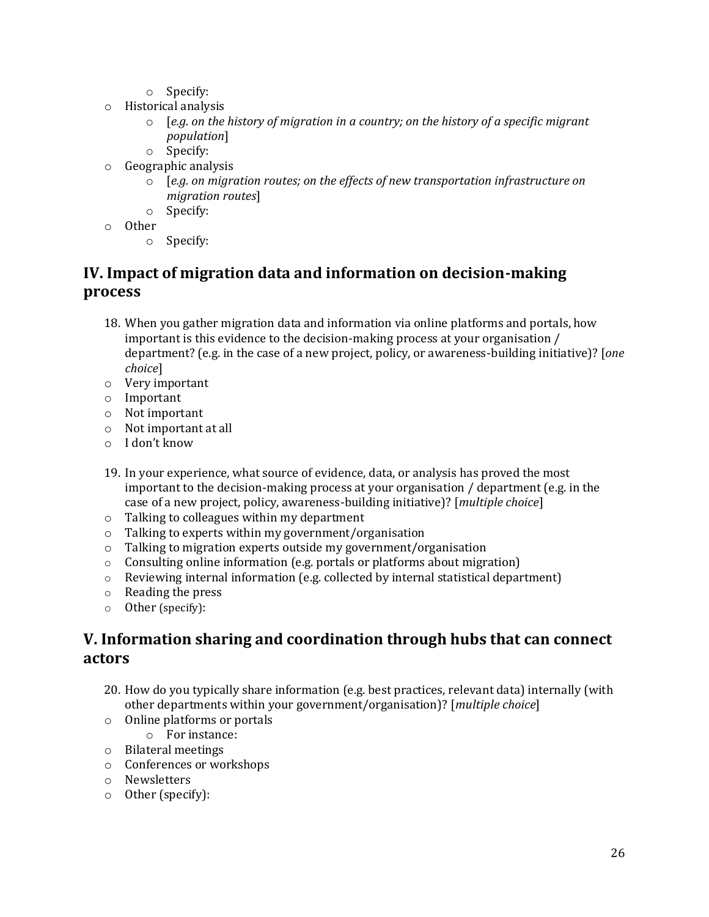- o Specify:
- o Historical analysis
	- o [*e.g. on the history of migration in a country; on the history of a specific migrant population*]
	- o Specify:
- o Geographic analysis
	- o [*e.g. on migration routes; on the effects of new transportation infrastructure on migration routes*]
	- o Specify:
- o Other
	- o Specify:

# **IV. Impact of migration data and information on decision-making process**

- 18. When you gather migration data and information via online platforms and portals, how important is this evidence to the decision-making process at your organisation / department? (e.g. in the case of a new project, policy, or awareness-building initiative)? [*one choice*]
- o Very important
- o Important
- o Not important
- o Not important at all
- o I don't know
- 19. In your experience, what source of evidence, data, or analysis has proved the most important to the decision-making process at your organisation / department (e.g. in the case of a new project, policy, awareness-building initiative)? [*multiple choice*]
- o Talking to colleagues within my department
- o Talking to experts within my government/organisation
- o Talking to migration experts outside my government/organisation
- o Consulting online information (e.g. portals or platforms about migration)
- $\circ$  Reviewing internal information (e.g. collected by internal statistical department)
- o Reading the press
- o Other (specify):

### **V. Information sharing and coordination through hubs that can connect actors**

- 20. How do you typically share information (e.g. best practices, relevant data) internally (with other departments within your government/organisation)? [*multiple choice*]
- o Online platforms or portals
	- o For instance:
- o Bilateral meetings
- o Conferences or workshops
- o Newsletters
- o Other (specify):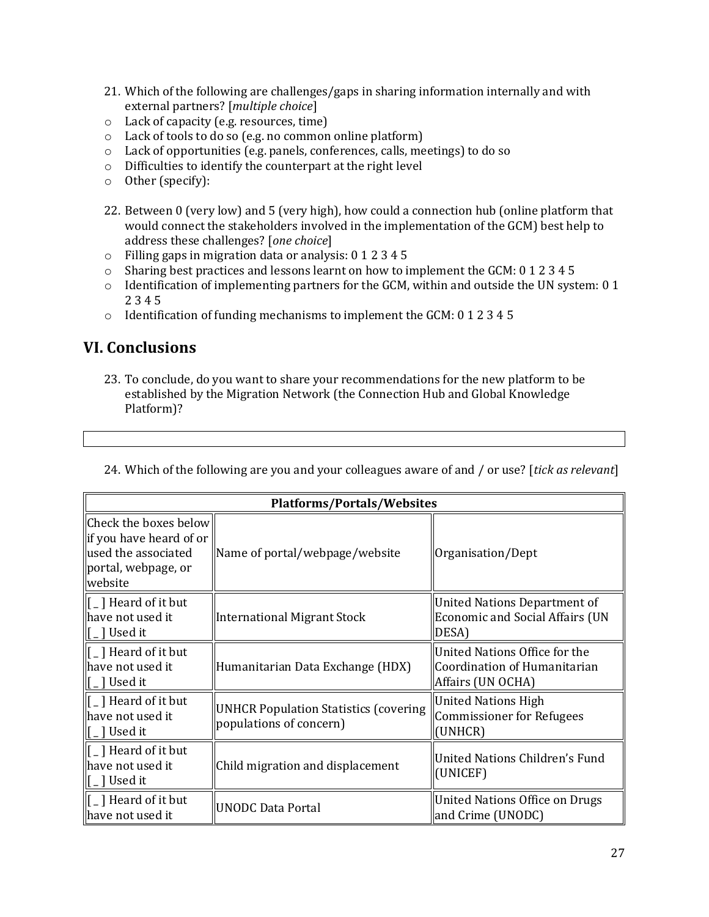- 21. Which of the following are challenges/gaps in sharing information internally and with external partners? [*multiple choice*]
- o Lack of capacity (e.g. resources, time)
- o Lack of tools to do so (e.g. no common online platform)
- o Lack of opportunities (e.g. panels, conferences, calls, meetings) to do so
- o Difficulties to identify the counterpart at the right level
- o Other (specify):
- 22. Between 0 (very low) and 5 (very high), how could a connection hub (online platform that would connect the stakeholders involved in the implementation of the GCM) best help to address these challenges? [*one choice*]
- o Filling gaps in migration data or analysis: 0 1 2 3 4 5
- o Sharing best practices and lessons learnt on how to implement the GCM: 0 1 2 3 4 5
- o Identification of implementing partners for the GCM, within and outside the UN system: 0 1 2 3 4 5
- o Identification of funding mechanisms to implement the GCM: 0 1 2 3 4 5

### **VI. Conclusions**

23. To conclude, do you want to share your recommendations for the new platform to be established by the Migration Network (the Connection Hub and Global Knowledge Platform)?

| <b>Platforms/Portals/Websites</b>                                                                         |                                                                         |                                                                                    |  |
|-----------------------------------------------------------------------------------------------------------|-------------------------------------------------------------------------|------------------------------------------------------------------------------------|--|
| Check the boxes below<br>if you have heard of or<br>used the associated<br>portal, webpage, or<br>website | Name of portal/webpage/website                                          | Organisation/Dept                                                                  |  |
| $\lceil$   Heard of it but<br>have not used it<br>[ _ ] Used it                                           | <b>International Migrant Stock</b>                                      | United Nations Department of<br><b>Economic and Social Affairs (UN</b><br>DESA)    |  |
| $\lceil$   Heard of it but<br>have not used it<br>] Used it                                               | Humanitarian Data Exchange (HDX)                                        | United Nations Office for the<br>Coordination of Humanitarian<br>Affairs (UN OCHA) |  |
| [ _ ] Heard of it but<br>have not used it<br>] Used it                                                    | <b>UNHCR Population Statistics (covering</b><br>populations of concern) | <b>United Nations High</b><br><b>Commissioner for Refugees</b><br>(UNHCR)          |  |
| [ _ ] Heard of it but<br>have not used it<br>[ _ ] Used it                                                | Child migration and displacement                                        | United Nations Children's Fund<br>(UNICEF)                                         |  |
| $\lceil$   Heard of it but<br>have not used it                                                            | <b>UNODC Data Portal</b>                                                | <b>United Nations Office on Drugs</b><br>and Crime (UNODC)                         |  |

24. Which of the following are you and your colleagues aware of and / or use? [*tick as relevant*]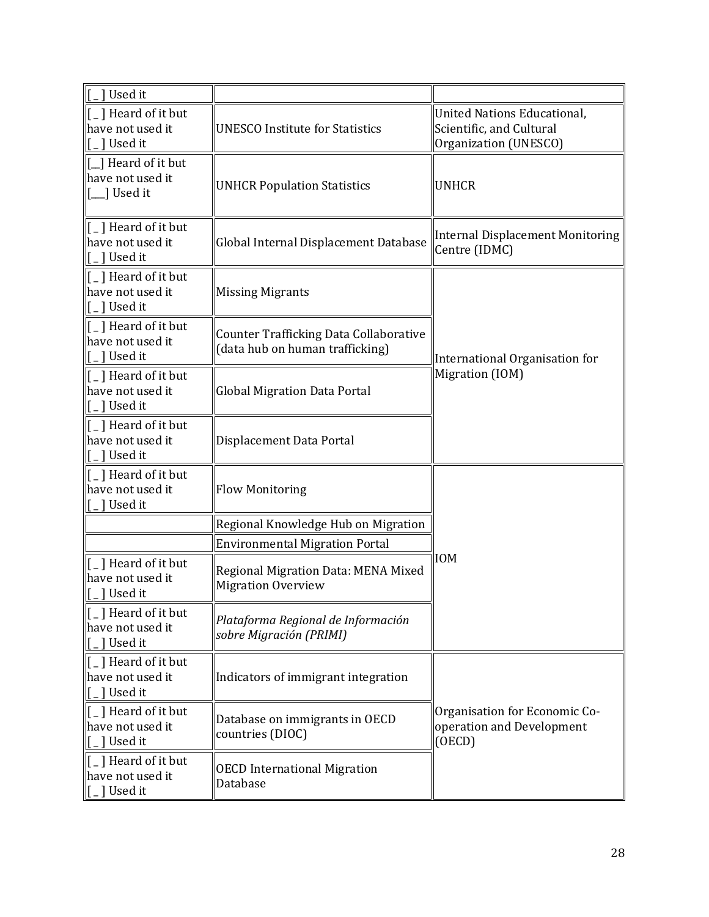| ſ<br>1 Used it                                                                                                               |                                                                                  |                                                                                         |  |
|------------------------------------------------------------------------------------------------------------------------------|----------------------------------------------------------------------------------|-----------------------------------------------------------------------------------------|--|
| [_] Heard of it but<br>have not used it<br>[ _ ] Used it                                                                     | <b>UNESCO Institute for Statistics</b>                                           | <b>United Nations Educational,</b><br>Scientific, and Cultural<br>Organization (UNESCO) |  |
| [1] Heard of it but<br>have not used it<br>] Used it                                                                         | <b>UNHCR Population Statistics</b>                                               | <b>UNHCR</b>                                                                            |  |
| [ _ ] Heard of it but<br>have not used it<br>[_] Used it                                                                     | Global Internal Displacement Database                                            | <b>Internal Displacement Monitoring</b><br>Centre (IDMC)                                |  |
| [_] Heard of it but<br>have not used it<br>[ _ ] Used it                                                                     | <b>Missing Migrants</b>                                                          |                                                                                         |  |
| $\left[ \begin{array}{c} 1 \end{array} \right]$ Heard of it but<br>have not used it<br>[_] Used it                           | <b>Counter Trafficking Data Collaborative</b><br>(data hub on human trafficking) | International Organisation for                                                          |  |
| $\left[ \begin{array}{c} 1 \end{array} \right]$ Heard of it but<br>have not used it<br>[ _ ] Used it                         | <b>Global Migration Data Portal</b>                                              | Migration (IOM)                                                                         |  |
| $\left[\begin{smallmatrix} 1 \\ 0 \end{smallmatrix}\right]$ Heard of it but<br>have not used it<br>$\lfloor \rfloor$ Used it | Displacement Data Portal                                                         |                                                                                         |  |
| $\vert$ [ $\vert$ ] Heard of it but<br>have not used it<br>$\lceil \frac{1}{2} \rceil$ Used it                               | <b>Flow Monitoring</b>                                                           |                                                                                         |  |
|                                                                                                                              | Regional Knowledge Hub on Migration                                              |                                                                                         |  |
|                                                                                                                              | <b>Environmental Migration Portal</b>                                            |                                                                                         |  |
| [_] Heard of it but<br>have not used it<br>$\lfloor \rfloor$ Used it                                                         | Regional Migration Data: MENA Mixed<br><b>Migration Overview</b>                 | <b>IOM</b>                                                                              |  |
| $\vert$ [ $\vert$ ] Heard of it but<br>have not used it<br>$\vert$ [ $\vert$ ] Used it                                       | Plataforma Regional de Información<br>sobre Migración (PRIMI)                    |                                                                                         |  |
| $\vert$ [ $\vert$ ] Heard of it but<br>have not used it<br>$\lceil$ _ ] Used it                                              | Indicators of immigrant integration                                              |                                                                                         |  |
| [ _ ] Heard of it but<br>have not used it<br>[ _ ] Used it                                                                   | Database on immigrants in OECD<br>countries (DIOC)                               | Organisation for Economic Co-<br>operation and Development<br>(OECD)                    |  |
| [ _ ] Heard of it but<br>have not used it<br>$\left[ \begin{array}{c} 1 \end{array} \right]$ Used it                         | <b>OECD International Migration</b><br>Database                                  |                                                                                         |  |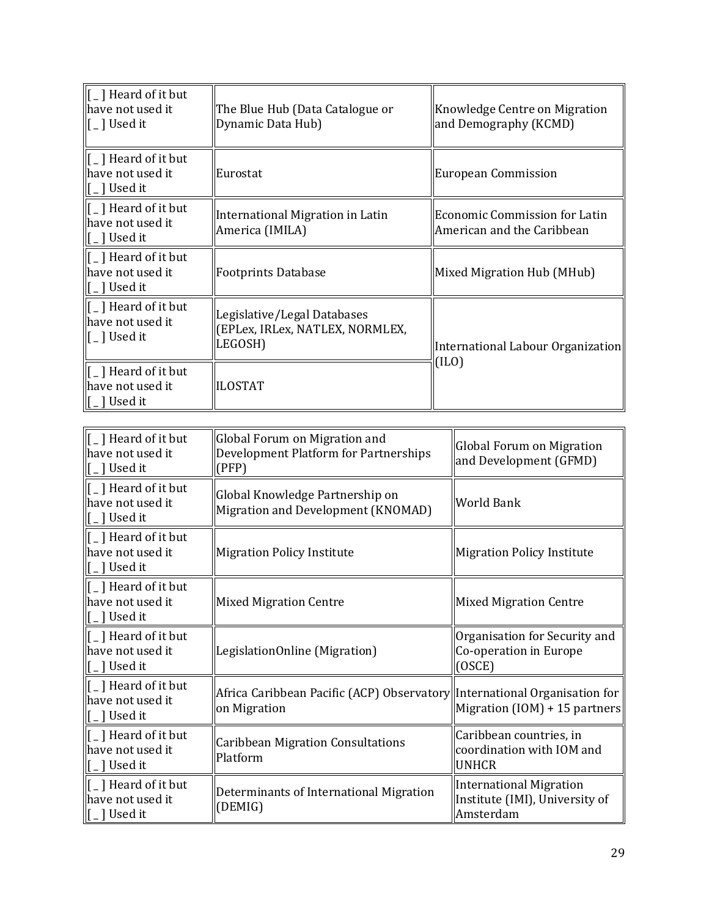| $\  \textsf{r}_\ $ Heard of it but<br>∥have not used it<br> [ _ ] Used it                                                     | The Blue Hub (Data Catalogue or<br>Dynamic Data Hub)                      | Knowledge Centre on Migration<br>and Demography (KCMD)             |  |
|-------------------------------------------------------------------------------------------------------------------------------|---------------------------------------------------------------------------|--------------------------------------------------------------------|--|
| $\  \textsf{r}_\ $ Heard of it but<br>have not used it<br>$\left[\begin{smallmatrix} 1 \\ 0 \end{smallmatrix}\right]$ Used it | Eurostat                                                                  | <b>European Commission</b>                                         |  |
| $\  \mathfrak{l} \_$ ] Heard of it but<br>have not used it<br>$\lfloor \rfloor$ Used it                                       | International Migration in Latin<br>America (IMILA)                       | <b>Economic Commission for Latin</b><br>American and the Caribbean |  |
| $\left\Vert \mathbf{f}\right\Vert _{-1}$ Heard of it but<br>have not used it<br>$\lceil \cdot \rfloor$ Used it                | <b>Footprints Database</b>                                                | Mixed Migration Hub (MHub)                                         |  |
| $\ $ [ $\ $ ] Heard of it but<br>have not used it<br>[[ _ ] Used it                                                           | Legislative/Legal Databases<br>(EPLex, IRLex, NATLEX, NORMLEX,<br>LEGOSH) | International Labour Organization                                  |  |
| $\llbracket$ [ $\lrcorner$ ] Heard of it but<br>have not used it<br>$\llbracket$ [ $\lbrack$ ] Used it                        | <b>ILOSTAT</b>                                                            | (ILO)                                                              |  |

| [ _ ] Heard of it but<br>have not used it<br>$\lceil \frac{1}{2} \rceil$ Used it                     | Global Forum on Migration and<br>Development Platform for Partnerships<br>(PFP)            | Global Forum on Migration<br>and Development (GFMD)                           |
|------------------------------------------------------------------------------------------------------|--------------------------------------------------------------------------------------------|-------------------------------------------------------------------------------|
| [ _ ] Heard of it but<br>have not used it<br>$\lceil \frac{1}{2} \rceil$ Used it                     | Global Knowledge Partnership on<br>Migration and Development (KNOMAD)                      | <b>World Bank</b>                                                             |
| [ _ ] Heard of it but<br>have not used it<br>$\left[ \begin{array}{c} 1 \end{array} \right]$ Used it | <b>Migration Policy Institute</b>                                                          | <b>Migration Policy Institute</b>                                             |
| [ _ ] Heard of it but<br>have not used it<br>$\lceil \frac{1}{2} \rceil$ Used it                     | <b>Mixed Migration Centre</b>                                                              | <b>Mixed Migration Centre</b>                                                 |
| [ _ ] Heard of it but<br>have not used it<br>$\lceil \_$ ] Used it                                   | LegislationOnline (Migration)                                                              | Organisation for Security and<br>Co-operation in Europe<br>(OSCE)             |
| [ _ ] Heard of it but<br>have not used it<br>[ _ ] Used it                                           | Africa Caribbean Pacific (ACP) Observatory  International Organisation for<br>on Migration | Migration $(10M) + 15$ partners                                               |
| [ _ ] Heard of it but<br>have not used it<br>$\lceil$ $\lceil$ Used it                               | <b>Caribbean Migration Consultations</b><br>Platform                                       | Caribbean countries, in<br>coordination with IOM and<br><b>UNHCR</b>          |
| [ _ ] Heard of it but<br>have not used it<br>$\lceil$ $\lceil$ Used it                               | Determinants of International Migration<br>(DEMIG)                                         | <b>International Migration</b><br>Institute (IMI), University of<br>Amsterdam |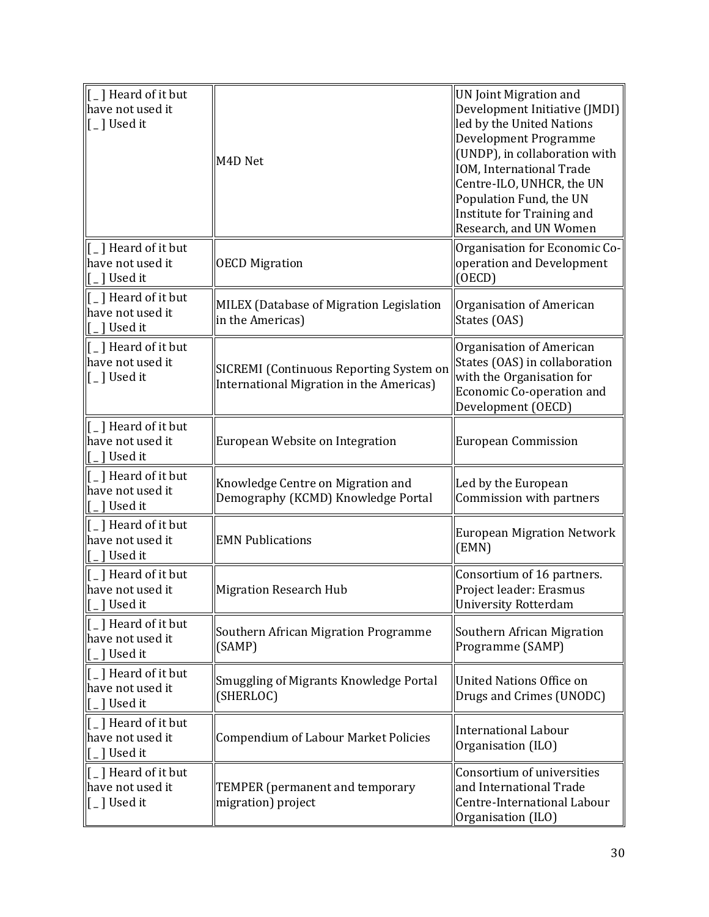| $\vert$ [ $\vert$ ] Heard of it but<br>have not used it<br>$\left[ \begin{array}{c} 1 \end{array} \right]$ Used it                                                    | M4D Net                                                                             | <b>UN Joint Migration and</b><br>Development Initiative (JMDI)<br>led by the United Nations<br>Development Programme<br>(UNDP), in collaboration with<br> IOM, International Trade<br>Centre-ILO, UNHCR, the UN<br>Population Fund, the UN<br>Institute for Training and<br>Research, and UN Women |
|-----------------------------------------------------------------------------------------------------------------------------------------------------------------------|-------------------------------------------------------------------------------------|----------------------------------------------------------------------------------------------------------------------------------------------------------------------------------------------------------------------------------------------------------------------------------------------------|
| [_] Heard of it but<br>have not used it<br>$\lceil$ _ ] Used it                                                                                                       | <b>OECD Migration</b>                                                               | Organisation for Economic Co-<br>operation and Development<br>(OECD)                                                                                                                                                                                                                               |
| [ _ ] Heard of it but<br>have not used it<br>$\left[\begin{smallmatrix} 0 & 1 \end{smallmatrix}\right]$ Used it                                                       | MILEX (Database of Migration Legislation<br>in the Americas)                        | Organisation of American<br>States (OAS)                                                                                                                                                                                                                                                           |
| [ _ ] Heard of it but<br>have not used it<br>$[$ $\Box$ Used it                                                                                                       | SICREMI (Continuous Reporting System on<br>International Migration in the Americas) | Organisation of American<br>States (OAS) in collaboration<br>with the Organisation for<br>Economic Co-operation and<br>Development (OECD)                                                                                                                                                          |
| $\Vert$ [ $_{-}$ ] Heard of it but<br>have not used it<br>$\left[\begin{smallmatrix}\_ \end{smallmatrix}\right]$ Used it                                              | European Website on Integration                                                     | European Commission                                                                                                                                                                                                                                                                                |
| [ _ ] Heard of it but<br>have not used it<br>[[ _ ] Used it                                                                                                           | Knowledge Centre on Migration and<br>Demography (KCMD) Knowledge Portal             | Led by the European<br>Commission with partners                                                                                                                                                                                                                                                    |
| $\left[\begin{smallmatrix} 1 \\ 1 \end{smallmatrix}\right]$ Heard of it but<br>have not used it<br>$\left[\begin{smallmatrix} 0 & 1 \end{smallmatrix}\right]$ Used it | <b>EMN Publications</b>                                                             | <b>European Migration Network</b><br>(EMN)                                                                                                                                                                                                                                                         |
| [ _ ] Heard of it but<br>have not used it<br>.] Used it                                                                                                               | <b>Migration Research Hub</b>                                                       | Consortium of 16 partners.<br>Project leader: Erasmus<br>University Rotterdam                                                                                                                                                                                                                      |
| [_] Heard of it but<br>have not used it<br>_] Used it                                                                                                                 | Southern African Migration Programme<br>(SAMP)                                      | Southern African Migration<br>Programme (SAMP)                                                                                                                                                                                                                                                     |
| [ _ ] Heard of it but<br>have not used it<br>[ ] Used it                                                                                                              | <b>Smuggling of Migrants Knowledge Portal</b><br>(SHERLOC)                          | United Nations Office on<br>Drugs and Crimes (UNODC)                                                                                                                                                                                                                                               |
| [ _ ] Heard of it but<br>have not used it<br>[_] Used it                                                                                                              | <b>Compendium of Labour Market Policies</b>                                         | International Labour<br>Organisation (ILO)                                                                                                                                                                                                                                                         |
| $\left[ \begin{array}{c} 1 \end{array} \right]$ Heard of it but<br>have not used it<br>$\left[ \begin{array}{c} 1 \end{array} \right]$ Used it                        | TEMPER (permanent and temporary<br>migration) project                               | Consortium of universities<br>and International Trade<br>Centre-International Labour<br>Organisation (ILO)                                                                                                                                                                                         |